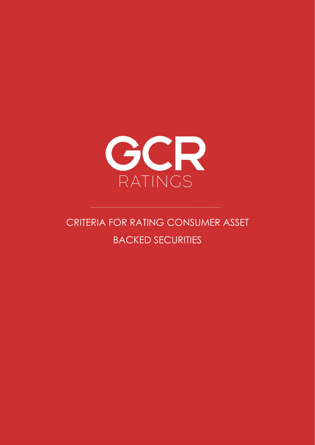

# CRITERIA FOR RATING CONSUMER ASSET BACKED SECURITIES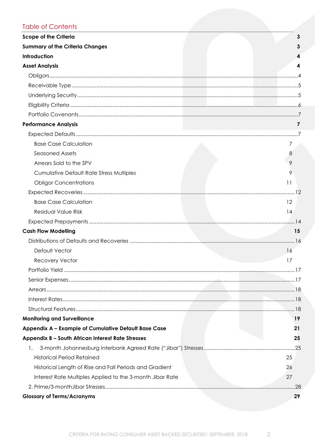# **Table of Contents**

| <b>Scope of the Criteria</b>                              | 3   |
|-----------------------------------------------------------|-----|
| <b>Summary of the Criteria Changes</b>                    |     |
| Introduction                                              |     |
| <b>Asset Analysis</b>                                     | 4   |
|                                                           |     |
|                                                           |     |
|                                                           |     |
|                                                           |     |
|                                                           |     |
| <b>Performance Analysis</b>                               | 7   |
|                                                           |     |
| <b>Base Case Calculation</b>                              | 7   |
| <b>Seasoned Assets</b>                                    | 8   |
| Arrears Sold to the SPV                                   |     |
| <b>Cumulative Default Rate Stress Multiples</b>           | 9   |
| <b>Obligor Concentrations</b>                             | 11  |
|                                                           |     |
| <b>Base Case Calculation</b>                              | 12  |
| Residual Value Risk                                       | 14  |
|                                                           |     |
| <b>Cash Flow Modelling</b>                                | 15  |
|                                                           |     |
| Default Vector                                            | 16  |
| <b>Recovery Vector</b>                                    | 17  |
|                                                           |     |
|                                                           |     |
|                                                           |     |
|                                                           |     |
|                                                           |     |
| <b>Monitoring and Surveillance</b>                        | 19  |
| Appendix A - Example of Cumulative Default Base Case      | 21  |
| Appendix B - South African Interest Rate Stresses         | 25  |
| 1.                                                        |     |
| <b>Historical Period Retained</b>                         | 25  |
| Historical Length of Rise and Fall Periods and Gradient   | 26  |
| Interest Rate Multiples Applied to the 3-month Jibar Rate | 27  |
|                                                           | .28 |
| <b>Glossary of Terms/Acronyms</b>                         | 29  |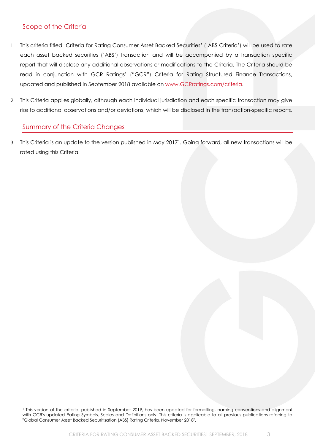## <span id="page-2-0"></span>Scope of the Criteria

- 1. This criteria titled 'Criteria for Rating Consumer Asset Backed Securities' ('ABS Criteria') will be used to rate each asset backed securities ('ABS') transaction and will be accompanied by a transaction specific report that will disclose any additional observations or modifications to the Criteria. The Criteria should be read in conjunction with GCR Ratings' ("GCR") Criteria for Rating Structured Finance Transactions, updated and published in September 2018 available on [www.GCRratings.com/criteria.](http://www.gcrratings.com/criteria)
- 2. This Criteria applies globally, although each individual jurisdiction and each specific transaction may give rise to additional observations and/or deviations, which will be disclosed in the transaction-specific reports.

## <span id="page-2-1"></span>Summary of the Criteria Changes

3. This Criteria is an update to the version published in May 20171. Going forward, all new transactions will be rated using this Criteria.

<sup>1</sup> This version of the criteria, published in September 2019, has been updated for formatting, naming conventions and alignment with GCR's updated Rating Symbols, Scales and Definitions only. This criteria is applicable to all previous publications referring to "Global Consumer Asset Backed Securitisation (ABS) Rating Criteria, November 2018".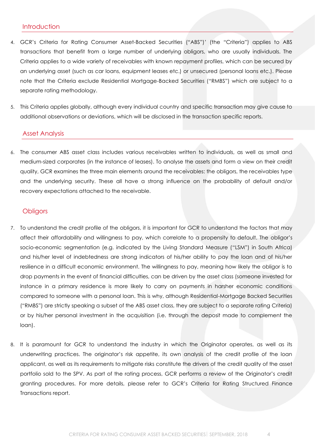#### <span id="page-3-0"></span>**Introduction**

- 4. GCR's Criteria for Rating Consumer Asset-Backed Securities ("ABS")' (the "Criteria") applies to ABS transactions that benefit from a large number of underlying obligors, who are usually individuals. The Criteria applies to a wide variety of receivables with known repayment profiles, which can be secured by an underlying asset (such as car loans, equipment leases etc.) or unsecured (personal loans etc.). Please note that the Criteria exclude Residential Mortgage-Backed Securities ("RMBS") which are subject to a separate rating methodology.
- 5. This Criteria applies globally, although every individual country and specific transaction may give cause to additional observations or deviations, which will be disclosed in the transaction specific reports.

#### <span id="page-3-1"></span>Asset Analysis

6. The consumer ABS asset class includes various receivables written to individuals, as well as small and medium-sized corporates (in the instance of leases). To analyse the assets and form a view on their credit quality, GCR examines the three main elements around the receivables: the obligors, the receivables type and the underlying security. These all have a strong influence on the probability of default and/or recovery expectations attached to the receivable.

#### <span id="page-3-2"></span>**Obligors**

- 7. To understand the credit profile of the obligors, it is important for GCR to understand the factors that may affect their affordability and willingness to pay, which correlate to a propensity to default. The obligor's socio-economic segmentation (e.g. indicated by the Living Standard Measure ("LSM") in South Africa) and his/her level of indebtedness are strong indicators of his/her ability to pay the loan and of his/her resilience in a difficult economic environment. The willingness to pay, meaning how likely the obligor is to drop payments in the event of financial difficulties, can be driven by the asset class (someone invested for instance in a primary residence is more likely to carry on payments in harsher economic conditions compared to someone with a personal loan. This is why, although Residential-Mortgage Backed Securities ("RMBS") are strictly speaking a subset of the ABS asset class, they are subject to a separate rating Criteria) or by his/her personal investment in the acquisition (i.e. through the deposit made to complement the loan).
- 8. It is paramount for GCR to understand the industry in which the Originator operates, as well as its underwriting practices. The originator's risk appetite, its own analysis of the credit profile of the loan applicant, as well as its requirements to mitigate risks constitute the drivers of the credit quality of the asset portfolio sold to the SPV. As part of the rating process, GCR performs a review of the Originator's credit granting procedures. For more details, please refer to GCR's Criteria for Rating Structured Finance Transactions report.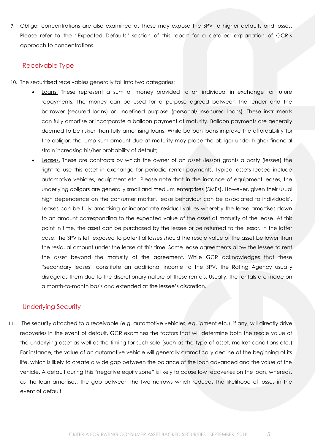9. Obligor concentrations are also examined as these may expose the SPV to higher defaults and losses. Please refer to the "Expected Defaults" section of this report for a detailed explanation of GCR's approach to concentrations.

#### <span id="page-4-0"></span>Receivable Type

- 10. The securitised receivables generally fall into two categories:
	- **Loans.** These represent a sum of money provided to an individual in exchange for future repayments. The money can be used for a purpose agreed between the lender and the borrower (secured loans) or undefined purpose (personal/unsecured loans). These instruments can fully amortise or incorporate a balloon payment at maturity. Balloon payments are generally deemed to be riskier than fully amortising loans. While balloon loans improve the affordability for the obligor, the lump sum amount due at maturity may place the obligor under higher financial strain increasing his/her probability of default;
	- Leases. These are contracts by which the owner of an asset (lessor) grants a party (lessee) the right to use this asset in exchange for periodic rental payments. Typical assets leased include automotive vehicles, equipment etc. Please note that in the instance of equipment leases, the underlying obligors are generally small and medium enterprises (SMEs). However, given their usual high dependence on the consumer market, lease behaviour can be associated to individuals'. Leases can be fully amortising or incorporate residual values whereby the lease amortises down to an amount corresponding to the expected value of the asset at maturity of the lease. At this point in time, the asset can be purchased by the lessee or be returned to the lessor. In the latter case, the SPV is left exposed to potential losses should the resale value of the asset be lower than the residual amount under the lease at this time. Some lease agreements allow the lessee to rent the asset beyond the maturity of the agreement. While GCR acknowledges that these "secondary leases" constitute an additional income to the SPV, the Rating Agency usually disregards them due to the discretionary nature of these rentals. Usually, the rentals are made on a month-to-month basis and extended at the lessee's discretion.

## <span id="page-4-1"></span>Underlying Security

11. The security attached to a receivable (e.g. automotive vehicles, equipment etc.), if any, will directly drive recoveries in the event of default. GCR examines the factors that will determine both the resale value of the underlying asset as well as the timing for such sale (such as the type of asset, market conditions etc.) For instance, the value of an automotive vehicle will generally dramatically decline at the beginning of its life, which is likely to create a wide gap between the balance of the loan advanced and the value of the vehicle. A default during this "negative equity zone" is likely to cause low recoveries on the loan, whereas, as the loan amortises, the gap between the two narrows which reduces the likelihood of losses in the event of default.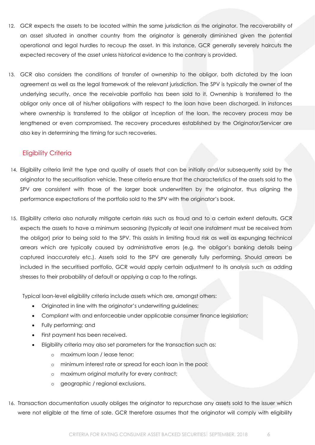- 12. GCR expects the assets to be located within the same jurisdiction as the originator. The recoverability of an asset situated in another country from the originator is generally diminished given the potential operational and legal hurdles to recoup the asset. In this instance, GCR generally severely haircuts the expected recovery of the asset unless historical evidence to the contrary is provided.
- 13. GCR also considers the conditions of transfer of ownership to the obligor, both dictated by the loan agreement as well as the legal framework of the relevant jurisdiction. The SPV is typically the owner of the underlying security, once the receivable portfolio has been sold to it. Ownership is transferred to the obligor only once all of his/her obligations with respect to the loan have been discharged. In instances where ownership is transferred to the obligor at inception of the loan, the recovery process may be lengthened or even compromised. The recovery procedures established by the Originator/Servicer are also key in determining the timing for such recoveries.

## <span id="page-5-0"></span>Eligibility Criteria

- 14. Eligibility criteria limit the type and quality of assets that can be initially and/or subsequently sold by the originator to the securitisation vehicle. These criteria ensure that the characteristics of the assets sold to the SPV are consistent with those of the larger book underwritten by the originator, thus aligning the performance expectations of the portfolio sold to the SPV with the originator's book.
- 15. Eligibility criteria also naturally mitigate certain risks such as fraud and to a certain extent defaults. GCR expects the assets to have a minimum seasoning (typically at least one instalment must be received from the obligor) prior to being sold to the SPV. This assists in limiting fraud risk as well as expunging technical arrears which are typically caused by administrative errors (e.g. the obligor's banking details being captured inaccurately etc.). Assets sold to the SPV are generally fully performing. Should arrears be included in the securitised portfolio, GCR would apply certain adjustment to its analysis such as adding stresses to their probability of default or applying a cap to the ratings.

Typical loan-level eligibility criteria include assets which are, amongst others:

- Originated in line with the originator's underwriting guidelines;
- Compliant with and enforceable under applicable consumer finance legislation;
- Fully performing; and
- First payment has been received.
- Eligibility criteria may also set parameters for the transaction such as:
	- o maximum loan / lease tenor;
	- o minimum interest rate or spread for each loan in the pool;
	- o maximum original maturity for every contract;
	- o geographic / regional exclusions.
- 16. Transaction documentation usually obliges the originator to repurchase any assets sold to the issuer which were not eligible at the time of sale. GCR therefore assumes that the originator will comply with eligibility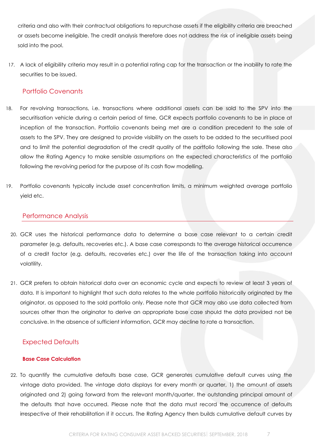criteria and also with their contractual obligations to repurchase assets if the eligibility criteria are breached or assets become ineligible. The credit analysis therefore does not address the risk of ineligible assets being sold into the pool.

17. A lack of eligibility criteria may result in a potential rating cap for the transaction or the inability to rate the securities to be issued.

## <span id="page-6-0"></span>Portfolio Covenants

- 18. For revolving transactions, i.e. transactions where additional assets can be sold to the SPV into the securitisation vehicle during a certain period of time, GCR expects portfolio covenants to be in place at inception of the transaction. Portfolio covenants being met are a condition precedent to the sale of assets to the SPV. They are designed to provide visibility on the assets to be added to the securitised pool and to limit the potential degradation of the credit quality of the portfolio following the sale. These also allow the Rating Agency to make sensible assumptions on the expected characteristics of the portfolio following the revolving period for the purpose of its cash flow modelling.
- 19. Portfolio covenants typically include asset concentration limits, a minimum weighted average portfolio yield etc.

## <span id="page-6-1"></span>Performance Analysis

- 20. GCR uses the historical performance data to determine a base case relevant to a certain credit parameter (e.g. defaults, recoveries etc.). A base case corresponds to the average historical occurrence of a credit factor (e.g. defaults, recoveries etc.) over the life of the transaction taking into account volatility.
- 21. GCR prefers to obtain historical data over an economic cycle and expects to review at least 3 years of data. It is important to highlight that such data relates to the whole portfolio historically originated by the originator, as opposed to the sold portfolio only. Please note that GCR may also use data collected from sources other than the originator to derive an appropriate base case should the data provided not be conclusive. In the absence of sufficient information, GCR may decline to rate a transaction.

## <span id="page-6-2"></span>Expected Defaults

#### <span id="page-6-3"></span>**Base Case Calculation**

22. To quantify the cumulative defaults base case, GCR generates cumulative default curves using the vintage data provided. The vintage data displays for every month or quarter, 1) the amount of assets originated and 2) going forward from the relevant month/quarter, the outstanding principal amount of the defaults that have occurred. Please note that the data must record the occurrence of defaults irrespective of their rehabilitation if it occurs. The Rating Agency then builds cumulative default curves by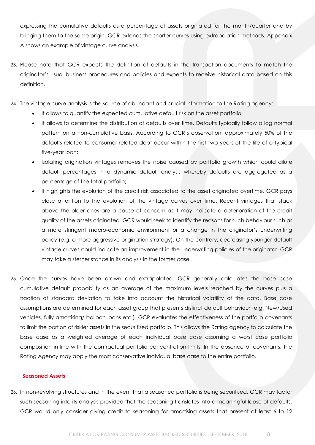expressing the cumulative defaults as a percentage of assets originated for the month/quarter and by bringing them to the same origin. GCR extends the shorter curves using extrapolation methods. Appendix A shows an example of vintage curve analysis.

- 23. Please note that GCR expects the definition of defaults in the transaction documents to match the originator's usual business procedures and policies and expects to receive historical data based on this definition.
- 24. The vintage curve analysis is the source of abundant and crucial information to the Rating agency:
	- It allows to quantify the expected cumulative default risk on the asset portfolio;
	- It allows to determine the distribution of defaults over time. Defaults typically follow a log normal pattern on a non-cumulative basis. According to GCR's observation, approximately 50% of the defaults related to consumer-related debt occur within the first two years of the life of a typical five-year loan;
	- Isolating origination vintages removes the noise caused by portfolio growth which could dilute default percentages in a dynamic default analysis whereby defaults are aggregated as a percentage of the total portfolio;
	- It highlights the evolution of the credit risk associated to the asset originated overtime. GCR pays close attention to the evolution of the vintage curves over time. Recent vintages that stack above the older ones are a cause of concern as it may indicate a deterioration of the credit quality of the assets originated. GCR would seek to identify the reasons for such behaviour such as a more stringent macro-economic environment or a change in the originator's underwriting policy (e.g. a more aggressive origination strategy). On the contrary, decreasing younger default vintage curves could indicate an improvement in the underwriting policies of the originator. GCR may take a sterner stance in its analysis in the former case.
- 25. Once the curves have been drawn and extrapolated, GCR generally calculates the base case cumulative default probability as an average of the maximum levels reached by the curves plus a fraction of standard deviation to take into account the historical volatility of the data. Base case assumptions are determined for each asset group that presents distinct default behaviour (e.g. New/Used vehicles, fully amortising/ balloon loans etc.). GCR evaluates the effectiveness of the portfolio covenants to limit the portion of riskier assets in the securitised portfolio. This allows the Rating agency to calculate the base case as a weighted average of each individual base case assuming a worst case portfolio composition in line with the contractual portfolio concentration limits. In the absence of covenants, the Rating Agency may apply the most conservative individual base case to the entire portfolio.

#### <span id="page-7-0"></span>**Seasoned Assets**

26. In non-revolving structures and in the event that a seasoned portfolio is being securitised, GCR may factor such seasoning into its analysis provided that the seasoning translates into a meaningful lapse of defaults. GCR would only consider giving credit to seasoning for amortising assets that present at least 6 to 12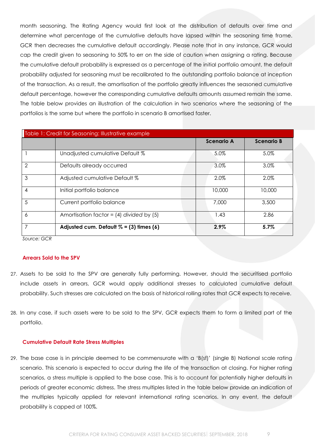month seasoning. The Rating Agency would first look at the distribution of defaults over time and determine what percentage of the cumulative defaults have lapsed within the seasoning time frame. GCR then decreases the cumulative default accordingly. Please note that in any instance, GCR would cap the credit given to seasoning to 50% to err on the side of caution when assigning a rating. Because the cumulative default probability is expressed as a percentage of the initial portfolio amount, the default probability adjusted for seasoning must be recalibrated to the outstanding portfolio balance at inception of the transaction. As a result, the amortisation of the portfolio greatly influences the seasoned cumulative default percentage, however the corresponding cumulative defaults amounts assumed remain the same. The table below provides an illustration of the calculation in two scenarios where the seasoning of the portfolios is the same but where the portfolio in scenario B amortised faster.

|                | Table 1: Credit for Seasoning: Illustrative example |                   |                   |
|----------------|-----------------------------------------------------|-------------------|-------------------|
|                |                                                     | <b>Scenario A</b> | <b>Scenario B</b> |
|                | Unadjusted cumulative Default %                     | 5.0%              | 5.0%              |
| $\overline{2}$ | Defaults already occurred                           | 3.0%              | 3.0%              |
| 3              | Adjusted cumulative Default %                       | 2.0%              | 2.0%              |
| 4              | Initial portfolio balance                           | 10,000            | 10,000            |
| 5              | Current portfolio balance                           | 7,000             | 3,500             |
| 6              | Amortisation factor = $(4)$ divided by $(5)$        | 1.43              | 2.86              |
| 7              | Adjusted cum. Default $% = (3)$ times (6)           | 2.9%              | 5.7%              |

*Source: GCR*

#### <span id="page-8-0"></span>**Arrears Sold to the SPV**

- 27. Assets to be sold to the SPV are generally fully performing. However, should the securitised portfolio include assets in arrears, GCR would apply additional stresses to calculated cumulative default probability. Such stresses are calculated on the basis of historical rolling rates that GCR expects to receive.
- 28. In any case, if such assets were to be sold to the SPV, GCR expects them to form a limited part of the portfolio.

#### <span id="page-8-1"></span>**Cumulative Default Rate Stress Multiples**

29. The base case is in principle deemed to be commensurate with a 'B(sf)' (single B) National scale rating scenario. This scenario is expected to occur during the life of the transaction at closing. For higher rating scenarios, a stress multiple is applied to the base case. This is to account for potentially higher defaults in periods of greater economic distress. The stress multiples listed in the table below provide an indication of the multiples typically applied for relevant international rating scenarios. In any event, the default probability is capped at 100%.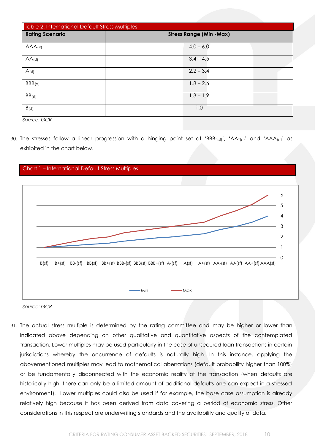| <b>Table 2: International Default Stress Multiples</b> |                                |
|--------------------------------------------------------|--------------------------------|
| <b>Rating Scenario</b>                                 | <b>Stress Range (Min -Max)</b> |
| $AAA$ (sf)                                             | $4.0 - 6.0$                    |
| $AA$ (sf)                                              | $3.4 - 4.5$                    |
| $A$ (sf)                                               | $2.2 - 3.4$                    |
| BBB(sf)                                                | $1.8 - 2.6$                    |
| $BB$ (sf)                                              | $1.3 - 1.9$                    |
| B(s)<br>$\sim$ $\sim$<br>$  -$                         | 1.0                            |

*Source: GCR*

30. The stresses follow a linear progression with a hinging point set at 'BBB-(sf)', 'AA-(sf)' and 'AAA(sf)' as exhibited in the chart below.



*Source: GCR*

31. The actual stress multiple is determined by the rating committee and may be higher or lower than indicated above depending on other qualitative and quantitative aspects of the contemplated transaction. Lower multiples may be used particularly in the case of unsecured loan transactions in certain jurisdictions whereby the occurrence of defaults is naturally high. In this instance, applying the abovementioned multiples may lead to mathematical aberrations (default probability higher than 100%) or be fundamentally disconnected with the economic reality of the transaction (when defaults are historically high, there can only be a limited amount of additional defaults one can expect in a stressed environment). Lower multiples could also be used if for example, the base case assumption is already relatively high because it has been derived from data covering a period of economic stress. Other considerations in this respect are underwriting standards and the availability and quality of data.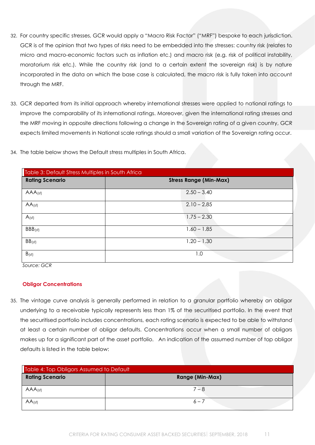- 32. For country specific stresses, GCR would apply a "Macro Risk Factor" ("MRF") bespoke to each jurisdiction. GCR is of the opinion that two types of risks need to be embedded into the stresses: country risk (relates to micro and macro-economic factors such as inflation etc.) and macro risk (e.g. risk of political instability, moratorium risk etc.). While the country risk (and to a certain extent the sovereign risk) is by nature incorporated in the data on which the base case is calculated, the macro risk is fully taken into account through the MRF.
- 33. GCR departed from its initial approach whereby international stresses were applied to national ratings to improve the comparability of its international ratings. Moreover, given the international rating stresses and the MRF moving in opposite directions following a change in the Sovereign rating of a given country, GCR expects limited movements in National scale ratings should a small variation of the Sovereign rating occur.
- 34. The table below shows the Default stress multiples in South Africa.

| Table 3: Default Stress Multiples in South Africa |                               |
|---------------------------------------------------|-------------------------------|
| <b>Rating Scenario</b>                            | <b>Stress Range (Min-Max)</b> |
| $AAA$ (sf)                                        | $2.50 - 3.40$                 |
| $AA$ (sf)                                         | $2.10 - 2.85$                 |
| $A$ (sf)                                          | $1.75 - 2.30$                 |
| BBB(sf)                                           | $1.60 - 1.85$                 |
| $BB$ (sf)                                         | $1.20 - 1.30$                 |
| $B_{(sf)}$                                        | 1.0                           |

*Source: GCR*

#### <span id="page-10-0"></span>**Obligor Concentrations**

35. The vintage curve analysis is generally performed in relation to a granular portfolio whereby an obligor underlying to a receivable typically represents less than 1% of the securitised portfolio. In the event that the securitised portfolio includes concentrations, each rating scenario is expected to be able to withstand at least a certain number of obligor defaults. Concentrations occur when a small number of obligors makes up for a significant part of the asset portfolio. An indication of the assumed number of top obligor defaults is listed in the table below:

| Table 4: Top Obligors Assumed to Default |                        |
|------------------------------------------|------------------------|
| <b>Rating Scenario</b>                   | <b>Range (Min-Max)</b> |
| $AAA$ (sf)                               | $7 - 8$                |
| $AA$ (sf)                                | $6 - 7$                |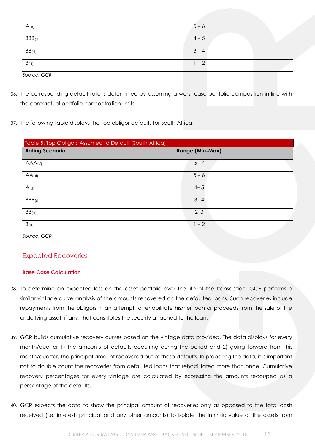| $A_{(sf)}$  | $5 - 6$ |  |
|-------------|---------|--|
| BBB(sf)     | $4 - 5$ |  |
| $BB$ (sf)   | $3 - 4$ |  |
| $B_{(sf)}$  | $1 - 2$ |  |
| Source: GCR |         |  |

- 36. The corresponding default rate is determined by assuming a worst case portfolio composition in line with the contractual portfolio concentration limits.
- 37. The following table displays the Top obligor defaults for South Africa:

| Table 5: Top Obligors Assumed to Default (South Africa) |                        |  |
|---------------------------------------------------------|------------------------|--|
| <b>Rating Scenario</b>                                  | <b>Range (Min-Max)</b> |  |
| $AAA$ (sf)                                              | $5 - 7$                |  |
| $AA$ <sub>(sf)</sub>                                    | $5 - 6$                |  |
| A(sf)                                                   | $4 - 5$                |  |
| $BBB_{(sf)}$                                            | $3 - 4$                |  |
| BB(sf)                                                  | $2 - 3$                |  |
| $B_{(sf)}$                                              | $1 - 2$                |  |

*Source: GCR*

## <span id="page-11-0"></span>Expected Recoveries

#### <span id="page-11-1"></span>**Base Case Calculation**

- 38. To determine an expected loss on the asset portfolio over the life of the transaction, GCR performs a similar vintage curve analysis of the amounts recovered on the defaulted loans. Such recoveries include repayments from the obligors in an attempt to rehabilitate his/her loan or proceeds from the sale of the underlying asset, if any, that constitutes the security attached to the loan.
- 39. GCR builds cumulative recovery curves based on the vintage data provided. The data displays for every month/quarter 1) the amounts of defaults occurring during the period and 2) going forward from this month/quarter, the principal amount recovered out of these defaults. In preparing the data, it is important not to double count the recoveries from defaulted loans that rehabilitated more than once. Cumulative recovery percentages for every vintage are calculated by expressing the amounts recouped as a percentage of the defaults.
- 40. GCR expects the data to show the principal amount of recoveries only as opposed to the total cash received (i.e. interest, principal and any other amounts) to isolate the intrinsic value of the assets from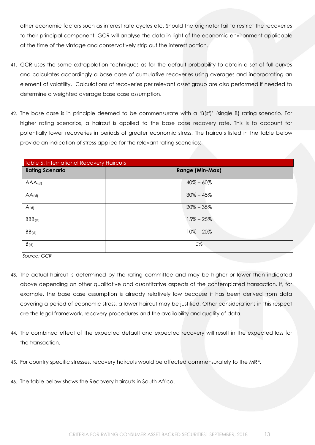other economic factors such as interest rate cycles etc. Should the originator fail to restrict the recoveries to their principal component, GCR will analyse the data in light of the economic environment applicable at the time of the vintage and conservatively strip out the interest portion.

- 41. GCR uses the same extrapolation techniques as for the default probability to obtain a set of full curves and calculates accordingly a base case of cumulative recoveries using averages and incorporating an element of volatility. Calculations of recoveries per relevant asset group are also performed if needed to determine a weighted average base case assumption.
- 42. The base case is in principle deemed to be commensurate with a 'B(sf)' (single B) rating scenario. For higher rating scenarios, a haircut is applied to the base case recovery rate. This is to account for potentially lower recoveries in periods of greater economic stress. The haircuts listed in the table below provide an indication of stress applied for the relevant rating scenarios:

| Table 6: International Recovery Haircuts |                        |
|------------------------------------------|------------------------|
| <b>Rating Scenario</b>                   | <b>Range (Min-Max)</b> |
| AAA <sub>(sf)</sub>                      | $40\% - 60\%$          |
| $AA$ (sf)                                | $30\% - 45\%$          |
| A(s)                                     | $20\% - 35\%$          |
| BBB(sf)                                  | $15\% - 25\%$          |
| BB(sf)                                   | $10\% - 20\%$          |
| $B_{(sf)}$                               | 0%                     |

*Source: GCR*

- 43. The actual haircut is determined by the rating committee and may be higher or lower than indicated above depending on other qualitative and quantitative aspects of the contemplated transaction. If, for example, the base case assumption is already relatively low because it has been derived from data covering a period of economic stress, a lower haircut may be justified. Other considerations in this respect are the legal framework, recovery procedures and the availability and quality of data.
- 44. The combined effect of the expected default and expected recovery will result in the expected loss for the transaction.
- 45. For country specific stresses, recovery haircuts would be affected commensurately to the MRF.
- 46. The table below shows the Recovery haircuts in South Africa.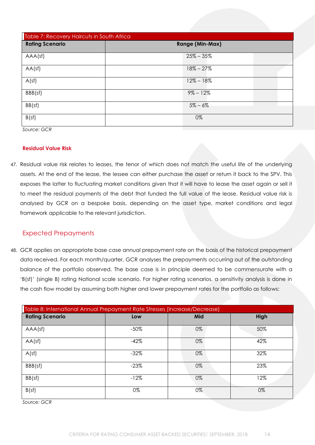| Table 7: Recovery Haircuts in South Africa |                        |  |
|--------------------------------------------|------------------------|--|
| <b>Rating Scenario</b>                     | <b>Range (Min-Max)</b> |  |
| AAA(sf)                                    | $25\% - 35\%$          |  |
| AA(sf)                                     | $18\% - 27\%$          |  |
| A(sf)                                      | $12\% - 18\%$          |  |
| BBB(sf)                                    | $9\% - 12\%$           |  |
| BB(sf)                                     | $5\% - 6\%$            |  |
| B(sf)                                      | 0%                     |  |

*Source: GCR*

#### <span id="page-13-0"></span>**Residual Value Risk**

47. Residual value risk relates to leases, the tenor of which does not match the useful life of the underlying assets. At the end of the lease, the lessee can either purchase the asset or return it back to the SPV. This exposes the latter to fluctuating market conditions given that it will have to lease the asset again or sell it to meet the residual payments of the debt that funded the full value of the lease. Residual value risk is analysed by GCR on a bespoke basis, depending on the asset type, market conditions and legal framework applicable to the relevant jurisdiction.

## <span id="page-13-1"></span>Expected Prepayments

48. GCR applies an appropriate base case annual prepayment rate on the basis of the historical prepayment data received. For each month/quarter, GCR analyses the prepayments occurring out of the outstanding balance of the portfolio observed. The base case is in principle deemed to be commensurate with a 'B(sf)' (single B) rating National scale scenario. For higher rating scenarios, a sensitivity analysis is done in the cash flow model by assuming both higher and lower prepayment rates for the portfolio as follows:

| Table 8: International Annual Prepayment Rate Stresses (Increase/Decrease) |         |     |      |
|----------------------------------------------------------------------------|---------|-----|------|
| <b>Rating Scenario</b>                                                     | Low     | Mid | High |
| AAA(sf)                                                                    | $-50\%$ | 0%  | 50%  |
| AA(sf)                                                                     | $-42%$  | 0%  | 42%  |
| A(sf)                                                                      | $-32%$  | 0%  | 32%  |
| BBB(sf)                                                                    | $-23%$  | 0%  | 23%  |
| BB(sf)                                                                     | $-12%$  | 0%  | 12%  |
| B(sf)                                                                      | 0%      | 0%  | 0%   |

*Source: GCR*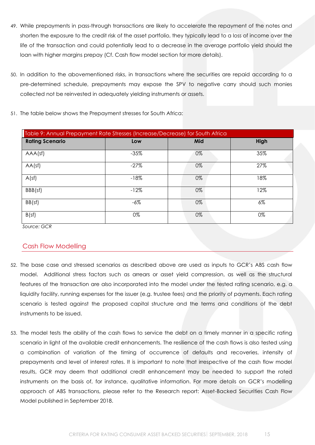- 49. While prepayments in pass-through transactions are likely to accelerate the repayment of the notes and shorten the exposure to the credit risk of the asset portfolio, they typically lead to a loss of income over the life of the transaction and could potentially lead to a decrease in the average portfolio yield should the loan with higher margins prepay (Cf. Cash flow model section for more details).
- 50. In addition to the abovementioned risks, in transactions where the securities are repaid according to a pre-determined schedule, prepayments may expose the SPV to negative carry should such monies collected not be reinvested in adequately yielding instruments or assets.

| Table 9: Annual Prepayment Rate Stresses (Increase/Decrease) for South Africa |        |     |       |
|-------------------------------------------------------------------------------|--------|-----|-------|
| <b>Rating Scenario</b>                                                        | Low    | Mid | High  |
| AAA(sf)                                                                       | $-35%$ | 0%  | 35%   |
| AA(sf)                                                                        | $-27%$ | 0%  | 27%   |
| A(sf)                                                                         | $-18%$ | 0%  | 18%   |
| BBB(sf)                                                                       | $-12%$ | 0%  | 12%   |
| BB(sf)                                                                        | $-6\%$ | 0%  | $6\%$ |
| B(sf)                                                                         | 0%     | 0%  | 0%    |

51. The table below shows the Prepayment stresses for South Africa:

*Source: GCR*

## <span id="page-14-0"></span>Cash Flow Modelling

- 52. The base case and stressed scenarios as described above are used as inputs to GCR's ABS cash flow model. Additional stress factors such as arrears or asset yield compression, as well as the structural features of the transaction are also incorporated into the model under the tested rating scenario, e.g. a liquidity facility, running expenses for the issuer (e.g. trustee fees) and the priority of payments. Each rating scenario is tested against the proposed capital structure and the terms and conditions of the debt instruments to be issued.
- 53. The model tests the ability of the cash flows to service the debt on a timely manner in a specific rating scenario in light of the available credit enhancements. The resilience of the cash flows is also tested using a combination of variation of the timing of occurrence of defaults and recoveries, intensity of prepayments and level of interest rates. It is important to note that irrespective of the cash flow model results, GCR may deem that additional credit enhancement may be needed to support the rated instruments on the basis of, for instance, qualitative information. For more details on GCR's modelling approach of ABS transactions, please refer to the Research report: Asset-Backed Securities Cash Flow Model published in September 2018.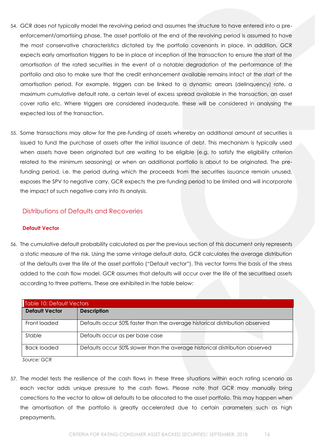- 54. GCR does not typically model the revolving period and assumes the structure to have entered into a preenforcement/amortising phase. The asset portfolio at the end of the revolving period is assumed to have the most conservative characteristics dictated by the portfolio covenants in place. In addition, GCR expects early amortisation triggers to be in place at inception of the transaction to ensure the start of the amortisation of the rated securities in the event of a notable degradation of the performance of the portfolio and also to make sure that the credit enhancement available remains intact at the start of the amortisation period. For example, triggers can be linked to a dynamic arrears (delinquency) rate, a maximum cumulative default rate, a certain level of excess spread available in the transaction, an asset cover ratio etc. Where triggers are considered inadequate, these will be considered in analysing the expected loss of the transaction.
- 55. Some transactions may allow for the pre-funding of assets whereby an additional amount of securities is issued to fund the purchase of assets after the initial issuance of debt. This mechanism is typically used when assets have been originated but are waiting to be eligible (e.g. to satisfy the eligibility criterion related to the minimum seasoning) or when an additional portfolio is about to be originated. The prefunding period, i.e. the period during which the proceeds from the securities issuance remain unused, exposes the SPV to negative carry. GCR expects the pre-funding period to be limited and will incorporate the impact of such negative carry into its analysis.

## <span id="page-15-0"></span>Distributions of Defaults and Recoveries

#### <span id="page-15-1"></span>**Default Vector**

56. The cumulative default probability calculated as per the previous section of this document only represents a static measure of the risk. Using the same vintage default data, GCR calculates the average distribution of the defaults over the life of the asset portfolio ("Default vector"). This vector forms the basis of the stress added to the cash flow model. GCR assumes that defaults will occur over the life of the securitised assets according to three patterns. These are exhibited in the table below:

| Table 10: Default Vectors |                                                                             |
|---------------------------|-----------------------------------------------------------------------------|
| <b>Default Vector</b>     | <b>Description</b>                                                          |
| Front loaded              | Defaults occur 50% faster than the average historical distribution observed |
| Stable                    | Defaults occur as per base case                                             |
| <b>Back loaded</b>        | Defaults occur 50% slower than the average historical distribution observed |
| Source: GCR               |                                                                             |

57. The model tests the resilience of the cash flows in these three situations within each rating scenario as each vector adds unique pressure to the cash flows. Please note that GCR may manually bring corrections to the vector to allow all defaults to be allocated to the asset portfolio. This may happen when the amortisation of the portfolio is greatly accelerated due to certain parameters such as high prepayments.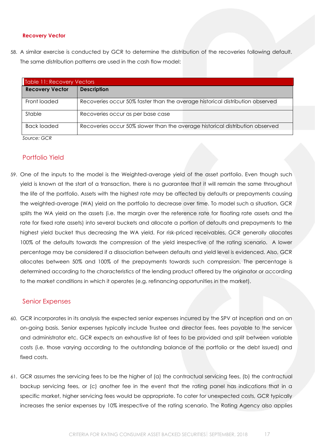#### <span id="page-16-0"></span>**Recovery Vector**

58. A similar exercise is conducted by GCR to determine the distribution of the recoveries following default. The same distribution patterns are used in the cash flow model:

| Table 11: Recovery Vectors |                                                                               |  |  |  |  |  |  |  |  |
|----------------------------|-------------------------------------------------------------------------------|--|--|--|--|--|--|--|--|
| <b>Recovery Vector</b>     | <b>Description</b>                                                            |  |  |  |  |  |  |  |  |
| Front loaded               | Recoveries occur 50% faster than the average historical distribution observed |  |  |  |  |  |  |  |  |
| Stable                     | Recoveries occur as per base case                                             |  |  |  |  |  |  |  |  |
| Back loaded                | Recoveries occur 50% slower than the average historical distribution observed |  |  |  |  |  |  |  |  |
| Source: GCR                |                                                                               |  |  |  |  |  |  |  |  |

<span id="page-16-1"></span>Portfolio Yield

59. One of the inputs to the model is the Weighted-average yield of the asset portfolio. Even though such yield is known at the start of a transaction, there is no guarantee that it will remain the same throughout the life of the portfolio. Assets with the highest rate may be affected by defaults or prepayments causing the weighted-average (WA) yield on the portfolio to decrease over time. To model such a situation, GCR splits the WA yield on the assets (i.e. the margin over the reference rate for floating rate assets and the rate for fixed rate assets) into several buckets and allocate a portion of defaults and prepayments to the highest yield bucket thus decreasing the WA yield. For risk-priced receivables, GCR generally allocates 100% of the defaults towards the compression of the yield irrespective of the rating scenario. A lower percentage may be considered if a dissociation between defaults and yield level is evidenced. Also, GCR allocates between 50% and 100% of the prepayments towards such compression. The percentage is determined according to the characteristics of the lending product offered by the originator or according to the market conditions in which it operates (e.g. refinancing opportunities in the market).

#### <span id="page-16-2"></span>Senior Expenses

- 60. GCR incorporates in its analysis the expected senior expenses incurred by the SPV at inception and on an on-going basis. Senior expenses typically include Trustee and director fees, fees payable to the servicer and administrator etc. GCR expects an exhaustive list of fees to be provided and split between variable costs (i.e. those varying according to the outstanding balance of the portfolio or the debt issued) and fixed costs.
- 61. GCR assumes the servicing fees to be the higher of (a) the contractual servicing fees, (b) the contractual backup servicing fees, or (c) another fee in the event that the rating panel has indications that in a specific market, higher servicing fees would be appropriate. To cater for unexpected costs, GCR typically increases the senior expenses by 10% irrespective of the rating scenario. The Rating Agency also applies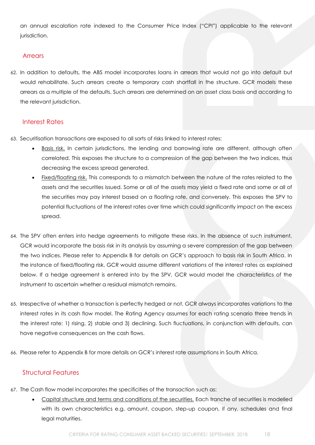an annual escalation rate indexed to the Consumer Price Index ("CPI") applicable to the relevant jurisdiction.

## <span id="page-17-0"></span>**Arrears**

62. In addition to defaults, the ABS model incorporates loans in arrears that would not go into default but would rehabilitate. Such arrears create a temporary cash shortfall in the structure. GCR models these arrears as a multiple of the defaults. Such arrears are determined on an asset class basis and according to the relevant jurisdiction.

## <span id="page-17-1"></span>Interest Rates

- 63. Securitisation transactions are exposed to all sorts of risks linked to interest rates:
	- Basis risk. In certain jurisdictions, the lending and borrowing rate are different, although often correlated. This exposes the structure to a compression of the gap between the two indices, thus decreasing the excess spread generated.
	- Fixed/floating risk. This corresponds to a mismatch between the nature of the rates related to the assets and the securities issued. Some or all of the assets may yield a fixed rate and some or all of the securities may pay interest based on a floating rate, and conversely. This exposes the SPV to potential fluctuations of the interest rates over time which could significantly impact on the excess spread.
- 64. The SPV often enters into hedge agreements to mitigate these risks. In the absence of such instrument, GCR would incorporate the basis risk in its analysis by assuming a severe compression of the gap between the two indices. Please refer to Appendix B for details on GCR's approach to basis risk in South Africa. In the instance of fixed/floating risk, GCR would assume different variations of the interest rates as explained below. If a hedge agreement is entered into by the SPV, GCR would model the characteristics of the instrument to ascertain whether a residual mismatch remains.
- 65. Irrespective of whether a transaction is perfectly hedged or not, GCR always incorporates variations to the interest rates in its cash flow model. The Rating Agency assumes for each rating scenario three trends in the interest rate: 1) rising, 2) stable and 3) declining. Such fluctuations, in conjunction with defaults, can have negative consequences on the cash flows.
- 66. Please refer to Appendix B for more details on GCR's interest rate assumptions in South Africa.

#### <span id="page-17-2"></span>Structural Features

- 67. The Cash flow model incorporates the specificities of the transaction such as:
	- Capital structure and terms and conditions of the securities. Each tranche of securities is modelled with its own characteristics e.g. amount, coupon, step-up coupon, if any, schedules and final legal maturities.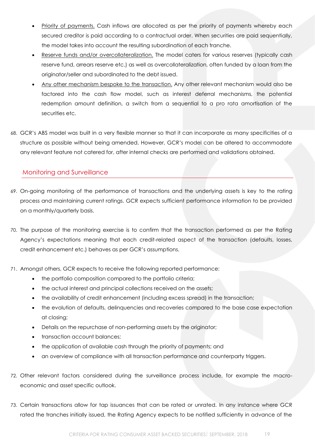- Priority of payments. Cash inflows are allocated as per the priority of payments whereby each secured creditor is paid according to a contractual order. When securities are paid sequentially, the model takes into account the resulting subordination of each tranche.
- Reserve funds and/or overcollateralization. The model caters for various reserves (typically cash reserve fund, arrears reserve etc.) as well as overcollateralization, often funded by a loan from the originator/seller and subordinated to the debt issued.
- Any other mechanism bespoke to the transaction. Any other relevant mechanism would also be factored into the cash flow model, such as interest deferral mechanisms, the potential redemption amount definition, a switch from a sequential to a pro rata amortisation of the securities etc.
- 68. GCR's ABS model was built in a very flexible manner so that it can incorporate as many specificities of a structure as possible without being amended. However, GCR's model can be altered to accommodate any relevant feature not catered for, after internal checks are performed and validations obtained.

## <span id="page-18-0"></span>Monitoring and Surveillance

- 69. On-going monitoring of the performance of transactions and the underlying assets is key to the rating process and maintaining current ratings. GCR expects sufficient performance information to be provided on a monthly/quarterly basis.
- 70. The purpose of the monitoring exercise is to confirm that the transaction performed as per the Rating Agency's expectations meaning that each credit-related aspect of the transaction (defaults, losses, credit enhancement etc.) behaves as per GCR's assumptions.
- 71. Amongst others, GCR expects to receive the following reported performance:
	- the portfolio composition compared to the portfolio criteria;
	- the actual interest and principal collections received on the assets;
	- the availability of credit enhancement (including excess spread) in the transaction;
	- the evolution of defaults, delinquencies and recoveries compared to the base case expectation at closing;
	- Details on the repurchase of non-performing assets by the originator;
	- transaction account balances;
	- the application of available cash through the priority of payments; and
	- an overview of compliance with all transaction performance and counterparty triggers.
- 72. Other relevant factors considered during the surveillance process include, for example the macroeconomic and asset specific outlook.
- 73. Certain transactions allow for tap issuances that can be rated or unrated. In any instance where GCR rated the tranches initially issued, the Rating Agency expects to be notified sufficiently in advance of the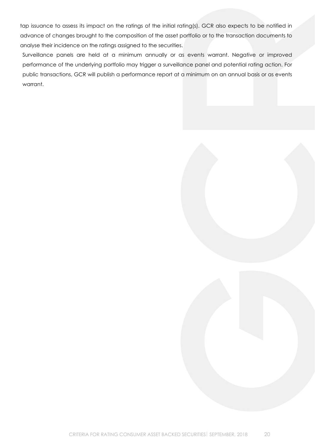tap issuance to assess its impact on the ratings of the initial rating(s). GCR also expects to be notified in advance of changes brought to the composition of the asset portfolio or to the transaction documents to analyse their incidence on the ratings assigned to the securities.

Surveillance panels are held at a minimum annually or as events warrant. Negative or improved performance of the underlying portfolio may trigger a surveillance panel and potential rating action. For public transactions, GCR will publish a performance report at a minimum on an annual basis or as events warrant.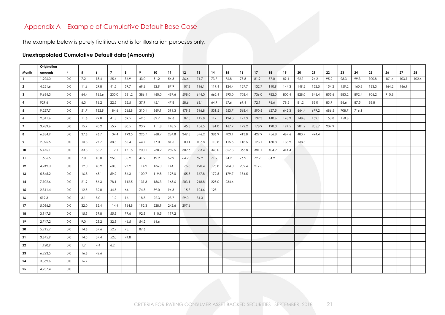# Appendix A – Example of Cumulative Default Base Case

The example below is purely fictitious and is for illustration purposes only.

## **Unextrapolated Cumulative Default data (Amounts)**

<span id="page-20-0"></span>

| Origination |     |      |       |                |       |       |       |       |       |       |       |       |       |       |       |       |       |       |       |       |       |       |       |       |       |
|-------------|-----|------|-------|----------------|-------|-------|-------|-------|-------|-------|-------|-------|-------|-------|-------|-------|-------|-------|-------|-------|-------|-------|-------|-------|-------|
| amounts     | 4   | 5    | 6     | $\overline{7}$ | 8     | 9     | 10    | 11    | 12    | 13    | 14    | 15    | 16    | 17    | 18    | 19    | 20    | 21    | 22    | 23    | 24    | 25    | 26    | 27    | 28    |
| 1.296.0     |     |      | 18.4  |                | 36.9  | 43.0  |       |       | 66.6  | 71.7  |       | 76.8  | 78.8  | 81.9  |       |       | 92.1  |       |       | 98.3  |       |       | 101.4 |       | 102.4 |
| 4,251.6     | 0.0 | 11.6 | 29.8  | 41.5           | 59.7  | 69.6  | 82.9  | 87.9  | 107.8 | 116.1 | 119.4 | 124.4 | 127.7 | 132.7 | 140.9 | 144.3 | 149.2 | 152.5 | 154.2 | 159.2 | 160.8 | 163.3 | 164.2 | 166.9 |       |
| 9,684.3     | 0.0 | 64.4 | 165.6 | 230.0          | 331.2 | 386.4 | 460.0 | 487.6 | 598.0 | 644.0 | 662.4 | 690.0 | 708.4 | 736.0 | 782.0 | 800.4 | 828.0 | 846.4 | 855.6 | 883.2 | 892.4 | 906.2 | 910.8 |       |       |
| 929.6       | 0.0 | 6.3  | 16.2  | 22.5           | 32.5  | 37.9  | 45.1  | 47.8  | 58.6  | 63.1  | 64.9  | 67.6  | 69.4  | 72.1  | 76.6  | 78.5  | 81.2  | 83.0  | 83.9  | 86.6  | 87.5  | 88.8  |       |       |       |
| 9,227.7     | 0.0 | 51.7 | 132.9 | 184.6          | 265.8 | 310.1 | 369.1 | 391.3 | 479.8 | 516.8 | 531.5 | 553.7 | 568.4 | 590.6 | 627.5 | 642.3 | 664.4 | 679.2 | 686.5 | 708.7 | 716.1 |       |       |       |       |
| 2,041.6     | 0.0 | 11.6 | 29.8  | 41.3           | 59.5  | 69.5  | 82.7  | 87.6  | 107.5 | 115.8 | 119.1 | 124.0 | 127.3 | 132.3 | 140.6 | 143.9 | 148.8 | 152.1 | 153.8 | 158.8 |       |       |       |       |       |
| 3.789.6     | 0.0 | 15.7 | 40.2  | 55.9           | 80.5  | 93.9  | 111.8 | 118.5 | 145.3 | 156.5 | 161.0 | 167.7 | 172.2 | 178.9 | 190.0 | 194.5 | 201.2 | 205.7 | 207.9 |       |       |       |       |       |       |
| 6,634.9     | 0.0 | 37.6 | 96.7  | 134.4          | 193.5 | 225.7 | 268.7 | 284.8 | 349.3 | 376.2 | 386.9 | 403.1 | 413.8 | 429.9 | 456.8 | 467.6 | 483.7 | 494.4 |       |       |       |       |       |       |       |
| 2,025.5     | 0.0 | 10.8 | 27.7  | 38.5           | 55.4  | 64.7  | 77.0  | 81.6  | 100.1 | 107.8 | 110.8 | 115.5 | 118.5 | 123.1 | 130.8 | 133.9 | 138.5 |       |       |       |       |       |       |       |       |
| 5.475.1     | 0.0 | 33.3 | 85.7  | 119.1          | 171.5 | 200.1 | 238.2 | 252.5 | 309.6 | 333.4 | 343.0 | 357.3 | 366.8 | 381.1 | 404.9 | 414.4 |       |       |       |       |       |       |       |       |       |
| 1,636.5     | 0.0 | 7.0  | 18.0  | 25.0           | 35.9  | 41.9  | 49.9  | 52.9  | 64.9  | 69.9  | 71.9  | 74.9  | 76.9  | 79.9  | 84.9  |       |       |       |       |       |       |       |       |       |       |
| 4,249.0     | 0.0 | 19.0 | 48.9  | 68.0           | 97.9  | 114.2 | 136.0 | 144.1 | 176.8 | 190.4 | 195.8 | 204.0 | 209.4 | 217.5 |       |       |       |       |       |       |       |       |       |       |       |
| 5,845.2     | 0.0 | 16.8 | 43.1  | 59.9           | 86.3  | 100.7 | 119.8 | 127.0 | 155.8 | 167.8 | 172.5 | 179.7 | 184.5 |       |       |       |       |       |       |       |       |       |       |       |       |
| 7,102.6     | 0.0 | 21.9 | 56.3  | 78.1           | 112.5 | 131.3 | 156.3 | 165.6 | 203.1 | 218.8 | 225.0 | 234.4 |       |       |       |       |       |       |       |       |       |       |       |       |       |
| 2,311.4     | 0.0 | 12.5 | 32.0  | 44.5           | 64.1  | 74.8  | 89.0  | 94.3  | 115.7 | 124.6 | 128.1 |       |       |       |       |       |       |       |       |       |       |       |       |       |       |
| 519.3       | 0.0 | 3.1  | 8.0   | 11.2           | 16.1  | 18.8  | 22.3  | 23.7  | 29.0  | 31.3  |       |       |       |       |       |       |       |       |       |       |       |       |       |       |       |
| 5,086.5     | 0.0 | 32.0 | 82.4  | 114.4          | 164.8 | 192.3 | 228.9 | 242.6 | 297.6 |       |       |       |       |       |       |       |       |       |       |       |       |       |       |       |       |
| 3,947.5     | 0.0 | 15.5 | 39.8  | 55.3           | 79.6  | 92.8  | 110.5 | 117.2 |       |       |       |       |       |       |       |       |       |       |       |       |       |       |       |       |       |
| 2,747.2     | 0.0 | 9.0  | 23.2  | 32.3           | 46.5  | 54.2  | 64.6  |       |       |       |       |       |       |       |       |       |       |       |       |       |       |       |       |       |       |
| 5,215.7     | 0.0 | 14.6 | 37.6  | 52.2           | 75.1  | 87.6  |       |       |       |       |       |       |       |       |       |       |       |       |       |       |       |       |       |       |       |
| 3,645.9     | 0.0 | 14.5 | 37.4  | 52.0           | 74.8  |       |       |       |       |       |       |       |       |       |       |       |       |       |       |       |       |       |       |       |       |
| 1.120.9     | 0.0 | 1.7  | 4.4   | 6.2            |       |       |       |       |       |       |       |       |       |       |       |       |       |       |       |       |       |       |       |       |       |
| 6,223.5     | 0.0 | 16.6 | 42.6  |                |       |       |       |       |       |       |       |       |       |       |       |       |       |       |       |       |       |       |       |       |       |
| 3,369.6     | 0.0 | 16.7 |       |                |       |       |       |       |       |       |       |       |       |       |       |       |       |       |       |       |       |       |       |       |       |
| 4,257.4     | 0.0 |      |       |                |       |       |       |       |       |       |       |       |       |       |       |       |       |       |       |       |       |       |       |       |       |
|             |     | 0.0  | 7.2   |                | 25.6  |       |       | 51.2  | 54.3  |       |       | 73.7  |       |       |       | 87.0  | 89.1  |       | 94.2  | 95.2  |       | 99.3  | 100.8 |       | 103.1 |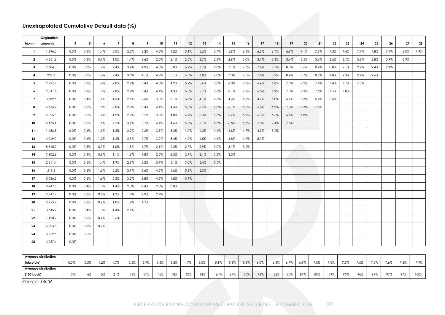## **Unextrapolated Cumulative Default data (%)**

|                         | Origination          |                         |      |      |                |      |      |      |      |      |      |      |      |      |      |      |         |         |      |      |      |      |      |      |      |      |
|-------------------------|----------------------|-------------------------|------|------|----------------|------|------|------|------|------|------|------|------|------|------|------|---------|---------|------|------|------|------|------|------|------|------|
| Month                   | amounts              | $\overline{\mathbf{4}}$ | 5    | 6    | $\overline{7}$ | 8    | 9    | 10   | 11   | 12   | 13   | 14   | 15   | 16   | 17   | 18   | 19      | 20      | 21   | 22   | 23   | 24   | 25   | 26   | 27   | 28   |
| -1                      | 1,296.0              | 0.0%                    | 0.6% | 1.4% | 2.0%           | 2.8% | 3.3% | 4.0% | 4.2% | 5.1% | 5.5% | 5.7% | 5.9% | 6.1% | 6.3% | 6.7% | 6.9%    | 7.1%    | 7.3% | 7.3% | 7.6% | 7.7% | 7.8% | 7.8% | 8.0% | 7.9% |
| $\overline{\mathbf{2}}$ | 4,251.6              | 0.0%                    | 0.3% | 0.7% | 1.0%           | 1.4% | 1.6% | 2.0% | 2.1% | 2.5% | 2.7% | 2.8% | 2.9% | 3.0% | 3.1% | 3.3% | 3.4%    | 3.5%    | 3.6% | 3.6% | 3.7% | 3.8% | 3.8% | 3.9% | 3.9% |      |
| 3                       | 9,684.3              | 0.0%                    | 0.7% | 1.7% | 2.4%           | 3.4% | 4.0% | 4.8% | 5.0% | 6.2% | 6.7% | 6.8% | 7.1% | 7.3% | 7.6% | 8.1% | 8.3%    | 8.6%    | 8.7% | 8.8% | 9.1% | 9.2% | 9.4% | 9.4% |      |      |
| $\overline{\mathbf{4}}$ | 929.6                | 0.0%                    | 0.7% | 1.7% | 2.4%           | 3.5% | 4.1% | 4.9% | 5.1% | 6.3% | 6.8% | 7.0% | 7.3% | 7.5% | 7.8% | 8.2% | 8.4%    | 8.7%    | 8.9% | 9.0% | 9.3% | 9.4% | 9.6% |      |      |      |
| 5                       | 9,227.7              | 0.0%                    | 0.6% | 1.4% | 2.0%           | 2.9% | 3.4% | 4.0% | 4.2% | 5.2% | 5.6% | 5.8% | 6.0% | 6.2% | 6.4% | 6.8% | 7.0%    | 7.2%    | 7.4% | 7.4% | 7.7% | 7.8% |      |      |      |      |
| $\boldsymbol{6}$        | 2,041.6              | 0.0%                    | 0.6% | 1.5% | 2.0%           | 2.9% | 3.4% | 4.1% | 4.3% | 5.3% | 5.7% | 5.8% | 6.1% | 6.2% | 6.5% | 6.9% | 7.0%    | 7.3%    | 7.5% | 7.5% | 7.8% |      |      |      |      |      |
| $\overline{7}$          | 3,789.6              | 0.0%                    | 0.4% | 1.1% | 1.5%           | 2.1% | 2.5% | 3.0% | 3.1% | 3.8% | 4.1% | 4.2% | 4.4% | 4.5% | 4.7% | 5.0% | 5.1%    | 5.3%    | 5.4% | 5.5% |      |      |      |      |      |      |
| 8                       | 6,634.9              | 0.0%                    | 0.6% | 1.5% | 2.0%           | 2.9% | 3.4% | 4.1% | 4.3% | 5.3% | 5.7% | 5.8% | 6.1% | 6.2% | 6.5% | 6.9% | 7.0%    | 7.3%    | 7.5% |      |      |      |      |      |      |      |
| 9                       | 2,025.5              | 0.0%                    | 0.5% | 1.4% | 1.9%           | 2.7% | 3.2% | 3.8% | 4.0% | 4.9% | 5.3% | 5.5% | 5.7% | 5.9% | 6.1% | 6.5% | 6.6%    | 6.8%    |      |      |      |      |      |      |      |      |
| 10                      | 5,475.1              | 0.0%                    | 0.6% | 1.6% | 2.2%           | 3.1% | 3.7% | 4.4% | 4.6% | 5.7% | 6.1% | 6.3% | 6.5% | 6.7% | 7.0% | 7.4% | 7.6%    |         |      |      |      |      |      |      |      |      |
| 11                      | 1,636.5              | 0.0%                    | 0.4% | 1.1% | 1.5%           | 2.2% | 2.6% | 3.1% | 3.2% | 4.0% | 4.3% | 4.4% | 4.6% | 4.7% | 4.9% | 5.2% |         |         |      |      |      |      |      |      |      |      |
| 12                      | 4,249.0              | 0.0%                    | 0.4% | 1.2% | 1.6%           | 2.3% | 2.7% | 3.2% | 3.4% | 4.2% | 4.5% | 4.6% | 4.8% | 4.9% | 5.1% |      |         |         |      |      |      |      |      |      |      |      |
| 13                      | 5,845.2              | 0.0%                    | 0.3% | 0.7% | 1.0%           | 1.5% | 1.7% | 2.1% | 2.2% | 2.7% | 2.9% | 3.0% | 3.1% | 3.2% |      |      |         |         |      |      |      |      |      |      |      |      |
| 14                      | 7,102.6              | 0.0%                    | 0.3% | 0.8% | 1.1%           | 1.6% | 1.8% | 2.2% | 2.3% | 2.9% | 3.1% | 3.2% | 3.3% |      |      |      |         |         |      |      |      |      |      |      |      |      |
| 15                      | 2,311.4              | 0.0%                    | 0.5% | 1.4% | 1.9%           | 2.8% | 3.2% | 3.9% | 4.1% | 5.0% | 5.4% | 5.5% |      |      |      |      |         |         |      |      |      |      |      |      |      |      |
| 16                      | 519.3                | 0.0%                    | 0.6% | 1.5% | 2.2%           | 3.1% | 3.6% | 4.3% | 4.6% | 5.6% | 6.0% |      |      |      |      |      |         |         |      |      |      |      |      |      |      |      |
| 17                      | 5,086.5              | 0.0%                    | 0.6% | 1.6% | 2.3%           | 3.2% | 3.8% | 4.5% | 4.8% | 5.9% |      |      |      |      |      |      |         |         |      |      |      |      |      |      |      |      |
| 18                      | 3,947.5              | 0.0%                    | 0.4% | 1.0% | 1.4%           | 2.0% | 2.4% | 2.8% | 3.0% |      |      |      |      |      |      |      |         |         |      |      |      |      |      |      |      |      |
| 19                      | 2,747.2              | 0.0%                    | 0.3% | 0.8% | 1.2%           | 1.7% | 2.0% | 2.4% |      |      |      |      |      |      |      |      |         |         |      |      |      |      |      |      |      |      |
| 20                      | 5,215.7              | 0.0%                    | 0.3% | 0.7% | 1.0%           | 1.4% | 1.7% |      |      |      |      |      |      |      |      |      |         |         |      |      |      |      |      |      |      |      |
| 21                      | 3,645.9              | 0.0%                    | 0.4% | 1.0% | 1.4%           | 2.1% |      |      |      |      |      |      |      |      |      |      |         |         |      |      |      |      |      |      |      |      |
| 22                      | 1,120.9              | 0.0%                    | 0.2% | 0.4% | 0.6%           |      |      |      |      |      |      |      |      |      |      |      |         |         |      |      |      |      |      |      |      |      |
| 23                      | 6,223.5              | 0.0%                    | 0.3% | 0.7% |                |      |      |      |      |      |      |      |      |      |      |      |         |         |      |      |      |      |      |      |      |      |
| 24                      | 3.369.6              | 0.0%                    | 0.5% |      |                |      |      |      |      |      |      |      |      |      |      |      |         |         |      |      |      |      |      |      |      |      |
| 25                      | 4,257.4              | 0.0%                    |      |      |                |      |      |      |      |      |      |      |      |      |      |      |         |         |      |      |      |      |      |      |      |      |
|                         |                      |                         |      |      |                |      |      |      |      |      |      |      |      |      |      |      |         |         |      |      |      |      |      |      |      |      |
|                         | Average distribution |                         |      |      |                |      |      |      |      |      |      |      |      |      |      |      |         |         |      |      |      |      |      |      |      |      |
| (absolute)              |                      | 0.0%                    | 0.5% | 1.2% | $1.7\%$        | 2.5% | 2.9% | 3.5% | 3.8% | 4.7% | 5.0% | 5.1% | 5.3% | 5.6% | 6.0% | 6.5% | $6.7\%$ | $6.9\%$ | 7.0% | 7.0% | 7.5% | 7.6% | 7.6% | 7.6% | 7.6% | 7.9% |
| (100 basis)             | Average distribution | 0%                      | 6%   | 15%  | 21%            | 31%  | 37%  | 45%  | 48%  | 60%  | 64%  | 64%  | 67%  | 70%  | 76%  | 82%  | 85%     | 87%     | 89%  | 89%  | 95%  | 96%  | 97%  | 97%  | 97%  | 100% |

*Source: GCR*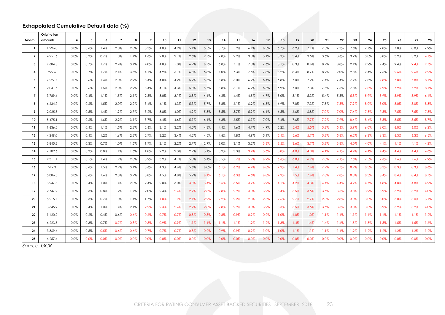## **Extrapolated Cumulative Default data (%)**

| Month                   | Origination<br>amounts | 4    | 5    | 6    | $\overline{7}$ | 8    | 9    | 10      | 11   | 12   | 13   | 14   | 15   | 16   | 17   | 18   | 19   | 20   | 21   | 22   | 23   | 24      | 25   | 26   | 27   | 28   |
|-------------------------|------------------------|------|------|------|----------------|------|------|---------|------|------|------|------|------|------|------|------|------|------|------|------|------|---------|------|------|------|------|
| $\mathbf{1}$            | 1,296.0                | 0.0% | 0.6% | 1.4% | 2.0%           | 2.8% | 3.3% | 4.0%    | 4.2% | 5.1% | 5.5% | 5.7% | 5.9% | 6.1% | 6.3% | 6.7% | 6.9% | 7.1% | 7.3% | 7.3% | 7.6% | 7.7%    | 7.8% | 7.8% | 8.0% | 7.9% |
| $\overline{\mathbf{2}}$ | 4,251.6                | 0.0% | 0.3% | 0.7% | 1.0%           | 1.4% | 1.6% | 2.0%    | 2.1% | 2.5% | 2.7% | 2.8% | 2.9% | 3.0% | 3.1% | 3.3% | 3.4% | 3.5% | 3.6% | 3.6% | 3.7% | 3.8%    | 3.8% | 3.9% | 3.9% | 4.1% |
|                         |                        |      |      |      |                |      |      |         |      |      |      |      |      |      |      |      |      |      |      |      |      |         |      |      |      |      |
| 3                       | 9,684.3                | 0.0% | 0.7% | 1.7% | 2.4%           | 3.4% | 4.0% | 4.8%    | 5.0% | 6.2% | 6.7% | 6.8% | 7.1% | 7.3% | 7.6% | 8.1% | 8.3% | 8.6% | 8.7% | 8.8% | 9.1% | 9.2%    | 9.4% | 9.4% | 9.4% | 9.7% |
| $\overline{4}$          | 929.6                  | 0.0% | 0.7% | 1.7% | 2.4%           | 3.5% | 4.1% | 4.9%    | 5.1% | 6.3% | 6.8% | 7.0% | 7.3% | 7.5% | 7.8% | 8.2% | 8.4% | 8.7% | 8.9% | 9.0% | 9.3% | 9.4%    | 9.6% | 9.6% | 9.6% | 9.9% |
| 5                       | 9,227.7                | 0.0% | 0.6% | 1.4% | 2.0%           | 2.9% | 3.4% | 4.0%    | 4.2% | 5.2% | 5.6% | 5.8% | 6.0% | 6.2% | 6.4% | 6.8% | 7.0% | 7.2% | 7.4% | 7.4% | 7.7% | 7.8%    | 7.8% | 7.8% | 7.8% | 8.1% |
| $\boldsymbol{6}$        | 2,041.6                | 0.0% | 0.6% | 1.5% | 2.0%           | 2.9% | 3.4% | 4.1%    | 4.3% | 5.3% | 5.7% | 5.8% | 6.1% | 6.2% | 6.5% | 6.9% | 7.0% | 7.3% | 7.5% | 7.5% | 7.8% | 7.8%    | 7.9% | 7.9% | 7.9% | 8.1% |
| $\overline{7}$          | 3,789.6                | 0.0% | 0.4% | 1.1% | 1.5%           | 2.1% | 2.5% | 3.0%    | 3.1% | 3.8% | 4.1% | 4.2% | 4.4% | 4.5% | 4.7% | 5.0% | 5.1% | 5.3% | 5.4% | 5.5% | 5.8% | 5.9%    | 5.9% | 5.9% | 5.9% | 6.1% |
| 8                       | 6.634.9                | 0.0% | 0.6% | 1.5% | 2.0%           | 2.9% | 3.4% | 4.1%    | 4.3% | 5.3% | 5.7% | 5.8% | 6.1% | 6.2% | 6.5% | 6.9% | 7.0% | 7.3% | 7.5% | 7.5% | 7.9% | 8.0%    | 8.0% | 8.0% | 8.0% | 8.3% |
| 9                       | 2.025.5                | 0.0% | 0.5% | 1.4% | 1.9%           | 2.7% | 3.2% | 3.8%    | 4.0% | 4.9% | 5.3% | 5.5% | 5.7% | 5.9% | 6.1% | 6.5% | 6.6% | 6.8% | 7.0% | 7.0% | 7.4% | 7.5%    | 7.5% | 7.5% | 7.5% | 7.8% |
| 10                      | 5.475.1                | 0.0% | 0.6% | 1.6% | 2.2%           | 3.1% | 3.7% | 4.4%    | 4.6% | 5.7% | 6.1% | 6.3% | 6.5% | 6.7% | 7.0% | 7.4% | 7.6% | 7.7% | 7.9% | 7.9% | 8.4% | 8.4%    | 8.5% | 8.5% | 8.5% | 8.7% |
| 11                      | 1,636.5                | 0.0% | 0.4% | 1.1% | 1.5%           | 2.2% | 2.6% | 3.1%    | 3.2% | 4.0% | 4.3% | 4.4% | 4.6% | 4.7% | 4.9% | 5.2% | 5.4% | 5.5% | 5.6% | 5.6% | 5.9% | 6.0%    | 6.0% | 6.0% | 6.0% | 6.2% |
| 12                      | 4.249.0                | 0.0% | 0.4% | 1.2% | 1.6%           | 2.3% | 2.7% | 3.2%    | 3.4% | 4.2% | 4.5% | 4.6% | 4.8% | 4.9% | 5.1% | 5.4% | 5.6% | 5.7% | 5.8% | 5.8% | 6.2% | $6.2\%$ | 6.3% | 6.3% | 6.3% | 6.5% |
| 13                      | 5.845.2                | 0.0% | 0.3% | 0.7% | 1.0%           | 1.5% | 1.7% | 2.1%    | 2.2% | 2.7% | 2.9% | 3.0% | 3.1% | 3.2% | 3.3% | 3.5% | 3.6% | 3.7% | 3.8% | 3.8% | 4.0% | 4.0%    | 4.1% | 4.1% | 4.1% | 4.2% |
| 14                      | 7.102.6                | 0.0% | 0.3% | 0.8% | 1.1%           | 1.6% | 1.8% | 2.2%    | 2.3% | 2.9% | 3.1% | 3.2% | 3.3% | 3.4% | 3.6% | 3.8% | 4.0% | 4.0% | 4.1% | 4.1% | 4.4% | 4.4%    | 4.4% | 4.4% | 4.4% | 4.6% |
| 15                      | 2,311.4                | 0.0% | 0.5% | 1.4% | 1.9%           | 2.8% | 3.2% | 3.9%    | 4.1% | 5.0% | 5.4% | 5.5% | 5.7% | 5.9% | 6.2% | 6.6% | 6.8% | 6.9% | 7.0% | 7.1% | 7.5% | 7.5%    | 7.6% | 7.6% | 7.6% | 7.9% |
| 16                      | 519.3                  | 0.0% | 0.6% | 1.5% | 2.2%           | 3.1% | 3.6% | 4.3%    | 4.6% | 5.6% | 6.0% | 6.1% | 6.2% | 6.4% | 6.8% | 7.2% | 7.4% | 7.6% | 7.7% | 7.7% | 8.2% | 8.3%    | 8.3% | 8.3% | 8.3% | 8.6% |
| 17                      | 5,086.5                | 0.0% | 0.6% | 1.6% | 2.3%           | 3.2% | 3.8% | 4.5%    | 4.8% | 5.9% | 6.1% | 6.1% | 6.3% | 6.5% | 6.8% | 7.2% | 7.5% | 7.6% | 7.8% | 7.8% | 8.3% | 8.3%    | 8.4% | 8.4% | 8.4% | 8.7% |
| 18                      | 3.947.5                | 0.0% | 0.4% | 1.0% | 1.4%           | 2.0% | 2.4% | 2.8%    | 3.0% | 3.3% | 3.4% | 3.5% | 3.5% | 3.7% | 3.9% | 4.1% | 4.2% | 4.3% | 4.4% | 4.4% | 4.7% | 4.7%    | 4.8% | 4.8% | 4.8% | 4.9% |
| 19                      | 2,747.2                | 0.0% | 0.3% | 0.8% | 1.2%           | 1.7% | 2.0% | 2.4%    | 2.4% | 2.7% | 2.8% | 2.8% | 2.9% | 3.0% | 3.2% | 3.4% | 3.5% | 3.5% | 3.6% | 3.6% | 3.8% | 3.9%    | 3.9% | 3.9% | 3.9% | 4.0% |
| 20                      | 5,215.7                | 0.0% | 0.3% | 0.7% | 1.0%           | 1.4% | 1.7% | 1.8%    | 1.9% | 2.1% | 2.2% | 2.2% | 2.2% | 2.3% | 2.5% | 2.6% | 2.7% | 2.7% | 2.8% | 2.8% | 3.0% | 3.0%    | 3.0% | 3.0% | 3.0% | 3.1% |
| 21                      | 3.645.9                | 0.0% | 0.4% | 1.0% | 1.4%           | 2.1% | 2.2% | 2.3%    | 2.4% | 2.7% | 2.8% | 2.8% | 2.9% | 3.0% | 3.2% | 3.3% | 3.5% | 3.5% | 3.6% | 3.6% | 3.8% | 3.8%    | 3.9% | 3.9% | 3.9% | 4.0% |
| 22                      | 1,120.9                | 0.0% | 0.2% | 0.4% | 0.6%           | 0.6% | 0.6% | $0.7\%$ | 0.7% | 0.8% | 0.8% | 0.8% | 0.9% | 0.9% | 0.9% | 1.0% | 1.0% | 1.0% | 1.1% | 1.1% | 1.1% | 1.1%    | 1.1% | 1.1% | 1.1% | 1.2% |
| 23                      | 6,223.5                | 0.0% | 0.3% | 0.7% | 0.7%           | 0.8% | 0.8% | 0.9%    | 0.9% | 1.1% | 1.1% | 1.1% | 1.1% | 1.2% | 1.2% | 1.3% | 1.4% | 1.4% | 1.4% | 1.4% | 1.5% | 1.5%    | 1.5% | 1.5% | 1.5% | 1.6% |
| 24                      | 3,369.6                | 0.0% | 0.5% | 0.5% | 0.6%           | 0.6% | 0.7% | 0.7%    | 0.7% | 0.8% | 0.9% | 0.9% | 0.9% | 0.9% | 1.0% | 1.0% | 1.1% | 1.1% | 1.1% | 1.1% | 1.2% | $1.2\%$ | 1.2% | 1.2% | 1.2% | 1.2% |
| 25                      | 4,257.4                | 0.0% | 0.0% | 0.0% | 0.0%           | 0.0% | 0.0% | 0.0%    | 0.0% | 0.0% | 0.0% | 0.0% | 0.0% | 0.0% | 0.0% | 0.0% | 0.0% | 0.0% | 0.0% | 0.0% | 0.0% | 0.0%    | 0.0% | 0.0% | 0.0% | 0.0% |
|                         |                        |      |      |      |                |      |      |         |      |      |      |      |      |      |      |      |      |      |      |      |      |         |      |      |      |      |

*Source: GCR*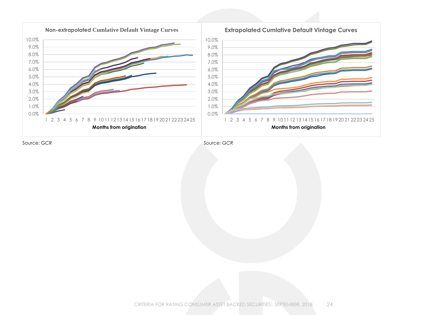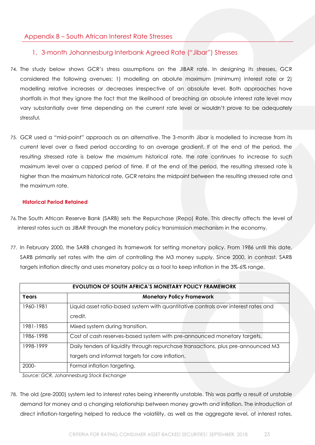## <span id="page-24-0"></span>Appendix B – South African Interest Rate Stresses

## <span id="page-24-1"></span>1. 3-month Johannesburg Interbank Agreed Rate ("Jibar") Stresses

- 74. The study below shows GCR's stress assumptions on the JIBAR rate. In designing its stresses, GCR considered the following avenues: 1) modelling an abolute maximum (minimum) interest rate or 2) modelling relative increases or decreases irrespective of an absolute level. Both approaches have shortfalls in that they ignore the fact that the likelihood of breaching an absolute interest rate level may vary substantially over time depending on the current rate level or wouldn't prove to be adequately stressful.
- 75. GCR used a "mid-point" approach as an alternative. The 3-month Jibar is modelled to increase from its current level over a fixed period according to an average gradient. If at the end of the period, the resulting stressed rate is below the maximum historical rate, the rate continues to increase to such maximum level over a capped period of time. If at the end of the period, the resulting stressed rate is higher than the maximum historical rate, GCR retains the midpoint between the resulting stressed rate and the maximum rate.

#### <span id="page-24-2"></span>**Historical Period Retained**

- 76.The South African Reserve Bank (SARB) sets the Repurchase (Repo) Rate. This directly affects the level of interest rates such as JIBAR through the monetary policy transmission mechanism in the economy.
- 77. In February 2000, the SARB changed its framework for setting monetary policy. From 1986 until this date, SARB primarily set rates with the aim of controlling the M3 money supply. Since 2000, in contrast, SARB targets inflation directly and uses monetary policy as a tool to keep inflation in the 3%-6% range.

|           | <b>EVOLUTION OF SOUTH AFRICA'S MONETARY POLICY FRAMEWORK</b>                                                                          |  |  |  |  |  |  |  |  |  |
|-----------|---------------------------------------------------------------------------------------------------------------------------------------|--|--|--|--|--|--|--|--|--|
| Years     | <b>Monetary Policy Framework</b>                                                                                                      |  |  |  |  |  |  |  |  |  |
| 1960-1981 | Liquid asset ratio-based system with quantitative controls over interest rates and<br>credit.                                         |  |  |  |  |  |  |  |  |  |
| 1981-1985 | Mixed system during transition.                                                                                                       |  |  |  |  |  |  |  |  |  |
| 1986-1998 | Cost of cash reserves-based system with pre-announced monetary targets.                                                               |  |  |  |  |  |  |  |  |  |
| 1998-1999 | Daily tenders of liquidity through repurchase transactions, plus pre-announced M3<br>targets and informal targets for core inflation. |  |  |  |  |  |  |  |  |  |
| 2000-     | Formal inflation targeting.                                                                                                           |  |  |  |  |  |  |  |  |  |

*Source: GCR, Johannesburg Stock Exchange*

78. The old (pre-2000) system led to interest rates being inherently unstable. This was partly a result of unstable demand for money and a changing relationship between money growth and inflation. The introduction of direct inflation-targeting helped to reduce the volatility, as well as the aggregate level, of interest rates.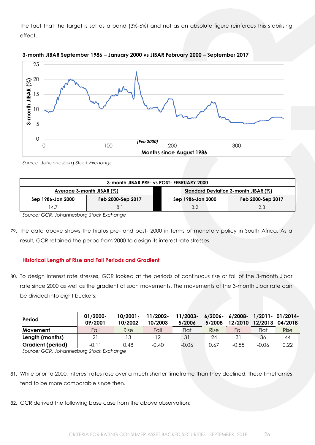The fact that the target is set as a band (3%-6%) and not as an absolute figure reinforces this stabilising effect.





*Source: Johannesburg Stock Exchange*

| 3-month JIBAR PRE- vs POST- FEBRUARY 2000 |                              |  |                   |                                      |  |  |  |  |  |
|-------------------------------------------|------------------------------|--|-------------------|--------------------------------------|--|--|--|--|--|
|                                           | Average 3-month JIBAR $(\%)$ |  |                   | Standard Deviation 3-month JIBAR (%) |  |  |  |  |  |
| Sep 1986-Jan 2000                         | Feb 2000-Sep 2017            |  | Sep 1986-Jan 2000 | Feb 2000-Sep 2017                    |  |  |  |  |  |
| 4.7                                       |                              |  | 3.2               | 2.3                                  |  |  |  |  |  |

*Source: GCR, Johannesburg Stock Exchange*

79. The data above shows the hiatus pre- and post- 2000 in terms of monetary policy in South Africa. As a result, GCR retained the period from 2000 to design its interest rate stresses.

#### <span id="page-25-0"></span>**Historical Length of Rise and Fall Periods and Gradient**

80. To design interest rate stresses, GCR looked at the periods of continuous rise or fall of the 3-month Jibar rate since 2000 as well as the gradient of such movements. The movements of the 3-month Jibar rate can be divided into eight buckets:

| Period            | 01/2000-<br>09/2001 | $10/2001 -$<br>10/2002 | 11/2002-<br>10/2003 | 11/2003-<br>5/2006 | 6/2006-<br>5/2008 | 6/2008-<br>12/2010 | 12/2013 | $1/2011 - 01/2014$<br>04/2018 |
|-------------------|---------------------|------------------------|---------------------|--------------------|-------------------|--------------------|---------|-------------------------------|
| Movement          | Fall                | Rise                   | Fall                | Flat               | <b>Rise</b>       | Fall               | Flat    | <b>Rise</b>                   |
| Length (months)   |                     |                        |                     | 31                 | 24                | 31                 | 36      | 44                            |
| Gradient (period) | $-0.11$             | 0.48                   | $-0.40$             | $-0.06$            | 0.67              | $-0.55$            | -0.06   | 0.22                          |
| -----             | - - - - -           |                        |                     |                    |                   |                    |         |                               |

*Source: GCR, Johannesburg Stock Exchange*

- 81. While prior to 2000, interest rates rose over a much shorter timeframe than they declined, these timeframes tend to be more comparable since then.
- 82. GCR derived the following base case from the above observation: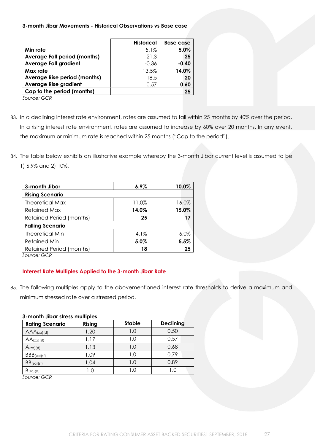**3-month Jibar Movements - Historical Observations vs Base case** 

|                                     | <b>Historical</b> | <b>Base case</b> |
|-------------------------------------|-------------------|------------------|
| Min rate                            | 5.1%              | 5.0%             |
| <b>Average Fall period (months)</b> | 21.3              | 25               |
| <b>Average Fall gradient</b>        | $-0.36$           | $-0.40$          |
| Max rate                            | 13.5%             | 14.0%            |
| Average Rise period (months)        | 18.5              | 20               |
| <b>Average Rise gradient</b>        | 0.57              | 0.60             |
| Cap to the period (months)          |                   | 25               |
| $\sim$ $\sim$ $\sim$ $\sim$         |                   |                  |

*Source: GCR*

- 83. In a declining interest rate environment, rates are assumed to fall within 25 months by 40% over the period. In a rising interest rate environment, rates are assumed to increase by 60% over 20 months. In any event, the maximum or minimum rate is reached within 25 months ("Cap to the period").
- 84. The table below exhibits an illustrative example whereby the 3-month Jibar current level is assumed to be 1) 6.9% and 2) 10%.

| 3-month Jibar                   | $6.9\%$ | 10.0% |
|---------------------------------|---------|-------|
| <b>Rising Scenario</b>          |         |       |
| Theoretical Max                 | 11.0%   | 16.0% |
| Retained Max                    | 14.0%   | 15.0% |
| Retained Period (months)        | 25      | 17    |
| <b>Falling Scenario</b>         |         |       |
| <b>Theoretical Min</b>          | 4.1%    | 6.0%  |
| <b>Retained Min</b>             | 5.0%    | 5.5%  |
| <b>Retained Period (months)</b> | 18      | 25    |
| SOLUTION CCP                    |         |       |

*Source: GCR*

#### <span id="page-26-0"></span>**Interest Rate Multiples Applied to the 3-month Jibar Rate**

85. The following multiples apply to the abovementioned interest rate thresholds to derive a maximum and minimum stressed rate over a stressed period.

#### **3-month Jibar stress multiples**

| <b>Rating Scenario</b> | <b>Rising</b> | <b>Stable</b> | <b>Declining</b> |
|------------------------|---------------|---------------|------------------|
| $AAA$ (za)(sf)         | 1.20          | 1.0           | 0.50             |
| $AA$ (za)(sf)          | 1.17          | 1.0           | 0.57             |
| $A$ (za)(sf)           | 1.13          | 1.0           | 0.68             |
| BBB(zq)(sf)            | 1.09          | 1.0           | 0.79             |
| $BB(z)$ (sf)           | 1.04          | 1.0           | 0.89             |
| $B(z\alpha)(sf)$       | .0            | 1.O           | 1.0              |

*Source: GCR*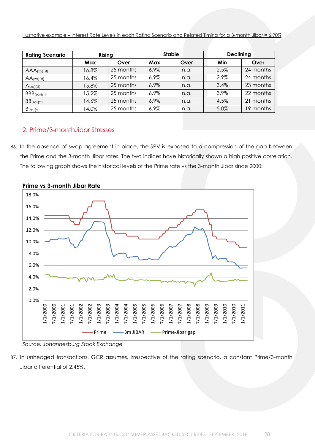Illustrative example – Interest Rate Levels in each Rating Scenario and Related Timing for a 3-month Jibar = 6.90%

| <b>Rating Scenario</b> | Rising     |           |         | <b>Stable</b> | <b>Declining</b> |              |
|------------------------|------------|-----------|---------|---------------|------------------|--------------|
|                        | <b>Max</b> | Over      | Max     | Over          | Min              | Over         |
| $AAA$ (za) (sf)        | 16.8%      | 25 months | 6.9%    | n.a.          | 2.5%             | 24 months    |
| $AA$ (za)(sf)          | 16.4%      | 25 months | $6.9\%$ | n.a.          | 2.9%             | 24 months    |
| $A(z\alpha)(sf)$       | 15.8%      | 25 months | 6.9%    | n.a.          | 3.4%             | 23 months    |
| BBB(zq)(sf)            | 15.2%      | 25 months | 6.9%    | n.a.          | 3.9%             | 22 months    |
| $BB(z)$ (sf)           | 14.6%      | 25 months | 6.9%    | n.a.          | 4.5%             | months<br>21 |
| $B(z\alpha)(sf)$       | 14.0%      | 25 months | $6.9\%$ | n.a.          | 5.0%             | 19 months    |

## <span id="page-27-0"></span>2. Prime/3-monthJibar Stresses

86. In the absence of swap agreement in place, the SPV is exposed to a compression of the gap between the Prime and the 3-month Jibar rates. The two indices have historically shown a high positive correlation. The following graph shows the historical levels of the Prime rate vs the 3-month Jibar since 2000:



**Prime vs 3-month Jibar Rate**

*Source: Johannesburg Stock Exchange*

87. In unhedged transactions, GCR assumes, irrespective of the rating scenario, a constant Prime/3-month Jibar differential of 2.45%.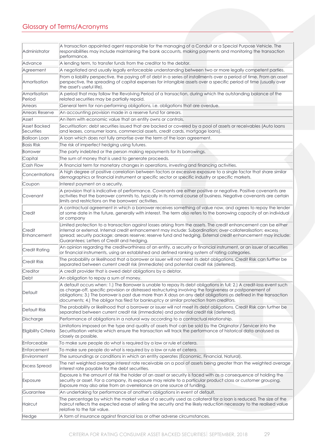# <span id="page-28-0"></span>Glossary of Terms/Acronyms

| Administrator              | A transaction appointed agent responsible for the managing of a Conduit or a Special Purpose Vehicle. The<br>responsibilities may include maintaining the bank accounts, making payments and monitoring the transaction<br>performance.                                                                                                                                                                                                              |
|----------------------------|------------------------------------------------------------------------------------------------------------------------------------------------------------------------------------------------------------------------------------------------------------------------------------------------------------------------------------------------------------------------------------------------------------------------------------------------------|
| Advance                    | A lending term, to transfer funds from the creditor to the debtor.                                                                                                                                                                                                                                                                                                                                                                                   |
| Agreement                  | A negotiated and usually legally enforceable understanding between two or more legally competent parties.                                                                                                                                                                                                                                                                                                                                            |
| Amortisation               | From a liability perspective, the paying off of debt in a series of installments over a period of time. From an asset<br>perspective, the spreading of capital expenses for intangible assets over a specific period of time (usually over<br>the asset's useful life).                                                                                                                                                                              |
| Amortisation<br>Period     | A period that may follow the Revolving Period of a transaction, during which the outstanding balance of the<br>related securities may be partially repaid.                                                                                                                                                                                                                                                                                           |
| Arrears                    | General term for non-performing obligations, i.e. obligations that are overdue.                                                                                                                                                                                                                                                                                                                                                                      |
| Arrears Reserve            | An accounting provision made in a reserve fund for arrears.                                                                                                                                                                                                                                                                                                                                                                                          |
| Asset                      | An item with economic value that an entity owns or controls.                                                                                                                                                                                                                                                                                                                                                                                         |
| Asset Backed<br>Securities | Securitisation: debt securities issued that are backed or covered by a pool of assets or receivables (Auto loans<br>and leases, consumer loans, commercial assets, credit cards, mortgage loans).                                                                                                                                                                                                                                                    |
| <b>Balloon Loan</b>        | A loan which does not fully amortise over the term of the loan agreement.                                                                                                                                                                                                                                                                                                                                                                            |
| <b>Basis Risk</b>          | The risk of imperfect hedging using futures.                                                                                                                                                                                                                                                                                                                                                                                                         |
| Borrower                   | The party indebted or the person making repayments for its borrowings.                                                                                                                                                                                                                                                                                                                                                                               |
| Capital                    | The sum of money that is used to generate proceeds.                                                                                                                                                                                                                                                                                                                                                                                                  |
| Cash Flow                  | A financial term for monetary changes in operations, investing and financing activities.                                                                                                                                                                                                                                                                                                                                                             |
| Concentrations             | A high degree of positive correlation between factors or excessive exposure to a single factor that share similar<br>demographics or financial instrument or specific sector or specific industry or specific markets.                                                                                                                                                                                                                               |
| Coupon                     | Interest payment on a security.                                                                                                                                                                                                                                                                                                                                                                                                                      |
| Covenant                   | A provision that is indicative of performance. Covenants are either positive or negative. Positive covenants are<br>activities that the borrower commits to, typically in its normal course of business. Negative covenants are certain<br>limits and restrictions on the borrowers' activities.                                                                                                                                                     |
| Credit                     | A contractual agreement in which a borrower receives something of value now, and agrees to repay the lender<br>at some date in the future, generally with interest. The term also refers to the borrowing capacity of an individual<br>or company                                                                                                                                                                                                    |
| Credit<br>Enhancement      | Limited protection to a transaction against losses arising from the assets. The credit enhancement can be either<br>internal or external. Internal credit enhancement may include: Subordination; over-collateralisation; excess<br>spread; security package; arrears reserve; reserve fund and hedging. External credit enhancement may include:<br>Guarantees; Letters of Credit and hedging.                                                      |
| Credit Rating              | An opinion regarding the creditworthiness of an entity, a security or financial instrument, or an issuer of securities<br>or financial instruments, using an established and defined ranking system of rating categories.                                                                                                                                                                                                                            |
| Credit Risk                | The probability or likelihood that a borrower or issuer will not meet its debt obligations. Credit Risk can further be<br>separated between current credit risk (immediate) and potential credit risk (deferred).                                                                                                                                                                                                                                    |
| Creditor                   | A credit provider that is owed debt obligations by a debtor.                                                                                                                                                                                                                                                                                                                                                                                         |
| Debt                       | An obligation to repay a sum of money.                                                                                                                                                                                                                                                                                                                                                                                                               |
| Default                    | A default occurs when: 1.) The Borrower is unable to repay its debt obligations in full; 2.) A credit-loss event such<br>as charge-off, specific provision or distressed restructuring involving the forgiveness or postponement of<br>obligations; 3.) The borrower is past due more than X days on any debt obligations as defined in the transaction<br>documents; 4.) The obligor has filed for bankruptcy or similar protection from creditors. |
| Default Risk               | The probability or likelihood that a borrower or issuer will not meet its debt obligations. Credit Risk can further be<br>separated between current credit risk (immediate) and potential credit risk (deferred).                                                                                                                                                                                                                                    |
| Discharge                  | Performance of obligations in a natural way according to a contractual relationship.                                                                                                                                                                                                                                                                                                                                                                 |
| Eligibility Criteria       | Limitations imposed on the type and quality of assets that can be sold by the Originator / Servicer into the<br>Securitisation vehicle which ensure the transaction will track the performance of historical data analysed as<br>closely as possible.                                                                                                                                                                                                |
| Enforceable                | To make sure people do what is required by a law or rule et cetera.                                                                                                                                                                                                                                                                                                                                                                                  |
| Enforcement                | To make sure people do what is required by a law or rule et cetera.                                                                                                                                                                                                                                                                                                                                                                                  |
| Environment                | The surroundings or conditions in which an entity operates (Economic, Financial, Natural).                                                                                                                                                                                                                                                                                                                                                           |
| <b>Excess Spread</b>       | The net weighted average interest rate receivable on a pool of assets being greater than the weighted average<br>interest rate payable for the debt securities.                                                                                                                                                                                                                                                                                      |
| Exposure                   | Exposure is the amount of risk the holder of an asset or security is faced with as a consequence of holding the<br>security or asset. For a company, its exposure may relate to a particular product class or customer grouping.<br>Exposure may also arise from an overreliance on one source of funding.                                                                                                                                           |
| Guarantee                  | An undertaking for performance of another's obligations in event of default.                                                                                                                                                                                                                                                                                                                                                                         |
| Haircut                    | The percentage by which the market value of a security used as collateral for a loan is reduced. The size of the<br>haircut reflects the expected ease of selling the security and the likely reduction necessary to the realised value<br>relative to the fair value.                                                                                                                                                                               |
| Hedge                      | A form of insurance against financial loss or other adverse circumstances.                                                                                                                                                                                                                                                                                                                                                                           |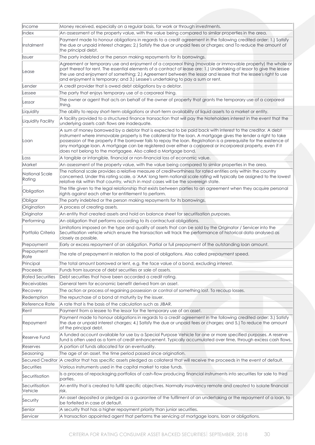| <b>Income</b>               | Money received, especially on a regular basis, for work or through investments.                                                                                                                                                                                                                                                                                                                                                                                                                                                           |
|-----------------------------|-------------------------------------------------------------------------------------------------------------------------------------------------------------------------------------------------------------------------------------------------------------------------------------------------------------------------------------------------------------------------------------------------------------------------------------------------------------------------------------------------------------------------------------------|
| Index                       | An assessment of the property value, with the value being compared to similar properties in the area.                                                                                                                                                                                                                                                                                                                                                                                                                                     |
| Instalment                  | Payment made to honour obligations in regards to a credit agreement in the following credited order: 1.) Satisfy<br>the due or unpaid interest charges; 2.) Satisfy the due or unpaid fees or charges; and To reduce the amount of<br>the principal debt.                                                                                                                                                                                                                                                                                 |
| <i><u><b>Issuer</b></u></i> | The party indebted or the person making repayments for its borrowings.                                                                                                                                                                                                                                                                                                                                                                                                                                                                    |
| Lease                       | Agreement or temporary use and enjoyment of a corporeal thing (movable or immovable property) the whole or<br>part thereof for rent. The essential elements of a contract of lease are: 1.) Undertaking of lessor to give the lessee<br>the use and enjoyment of something; 2.) Agreement between the lessor and lessee that the lessee's right to use<br>and enjoyment is temporary; and 3.) Lessee's undertaking to pay a sum or rent.                                                                                                  |
| Lender                      | A credit provider that is owed debt obligations by a debtor.                                                                                                                                                                                                                                                                                                                                                                                                                                                                              |
| Lessee                      | The party that enjoys temporary use of a corporeal thing.                                                                                                                                                                                                                                                                                                                                                                                                                                                                                 |
| Lessor                      | The owner or agent that acts on behalf of the owner of property that grants the temporary use of a corporeal<br>thing.                                                                                                                                                                                                                                                                                                                                                                                                                    |
| Liquidity                   | The ability to repay short-term obligations or short-term availability of liquid assets to a market or entity.                                                                                                                                                                                                                                                                                                                                                                                                                            |
| Liquidity Facility          | A facility provided to a structured finance transaction that will pay the Noteholders interest in the event that the<br>underlying assets cash flows are inadequate.                                                                                                                                                                                                                                                                                                                                                                      |
| Loan                        | A sum of money borrowed by a debtor that is expected to be paid back with interest to the creditor. A debt<br>instrument where immovable property is the collateral for the loan. A mortgage gives the lender a right to take<br>possession of the property if the borrower fails to repay the loan. Registration is a prerequisite for the existence of<br>any mortgage loan. A mortgage can be registered over either a corporeal or incorporeal property, even if it<br>does not belong to the mortgagee. Also called a Mortgage bond. |
| Loss                        | A tangible or intangible, financial or non-financial loss of economic value.                                                                                                                                                                                                                                                                                                                                                                                                                                                              |
| Market                      | An assessment of the property value, with the value being compared to similar properties in the area.                                                                                                                                                                                                                                                                                                                                                                                                                                     |
| National Scale<br>Rating    | The national scale provides a relative measure of creditworthiness for rated entities only within the country<br>concerned. Under this rating scale, a 'AAA' long term national scale rating will typically be assigned to the lowest<br>relative risk within that country, which in most cases will be the sovereign state.                                                                                                                                                                                                              |
| Obligation                  | The title given to the legal relationship that exists between parties to an agreement when they acquire personal<br>rights against each other for entitlement to perform.                                                                                                                                                                                                                                                                                                                                                                 |
| Obligor                     | The party indebted or the person making repayments for its borrowings.                                                                                                                                                                                                                                                                                                                                                                                                                                                                    |
| Origination                 | A process of creating assets.                                                                                                                                                                                                                                                                                                                                                                                                                                                                                                             |
| Originator                  | An entity that created assets and hold on balance sheet for securitisation purposes.                                                                                                                                                                                                                                                                                                                                                                                                                                                      |
| Performing                  | An obligation that performs according to its contractual obligations.                                                                                                                                                                                                                                                                                                                                                                                                                                                                     |
| Portfolio Criteria          | Limitations imposed on the type and quality of assets that can be sold by the Originator / Servicer into the<br>Securitisation vehicle which ensure the transaction will track the performance of historical data analysed as<br>closely as possible.                                                                                                                                                                                                                                                                                     |
| Prepayment                  | Early or excess repayment of an obligation. Partial or full prepayment of the outstanding loan amount.                                                                                                                                                                                                                                                                                                                                                                                                                                    |
| Prepayment<br>Rate          | The rate of prepayment in relation to the pool of obligations. Also called prepayment speed.                                                                                                                                                                                                                                                                                                                                                                                                                                              |
| Principal                   | The total amount borrowed or lent, e.g. the face value of a bond, excluding interest.                                                                                                                                                                                                                                                                                                                                                                                                                                                     |
| Proceeds                    | Funds from issuance of debt securities or sale of assets.                                                                                                                                                                                                                                                                                                                                                                                                                                                                                 |
| <b>Rated Securities</b>     | Debt securities that have been accorded a credit rating.                                                                                                                                                                                                                                                                                                                                                                                                                                                                                  |
| Receivables                 | General term for economic benefit derived from an asset.                                                                                                                                                                                                                                                                                                                                                                                                                                                                                  |
| Recovery                    | The action or process of regaining possession or control of something lost. To recoup losses,                                                                                                                                                                                                                                                                                                                                                                                                                                             |
| Redemption                  | The repurchase of a bond at maturity by the issuer.                                                                                                                                                                                                                                                                                                                                                                                                                                                                                       |
| Reference Rate              | A rate that is the basis of the calculation such as JIBAR.                                                                                                                                                                                                                                                                                                                                                                                                                                                                                |
| Rent                        | Payment from a lessee to the lessor for the temporary use of an asset.                                                                                                                                                                                                                                                                                                                                                                                                                                                                    |
| Repayment                   | Payment made to honour obligations in regards to a credit agreement in the following credited order: 3.) Satisfy<br>the due or unpaid interest charges; 4.) Satisfy the due or unpaid fees or charges; and 5.) To reduce the amount<br>of the principal debt.                                                                                                                                                                                                                                                                             |
| <b>Reserve Fund</b>         | A funded account available for use by a Special Purpose Vehicle for one or more specified purposes. A reserve<br>fund is often used as a form of credit enhancement. Typically accumulated over time, through excess cash flows.                                                                                                                                                                                                                                                                                                          |
| Reserves                    | A portion of funds allocated for an eventuality.                                                                                                                                                                                                                                                                                                                                                                                                                                                                                          |
| Seasoning                   | The age of an asset, the time period passed since origination.                                                                                                                                                                                                                                                                                                                                                                                                                                                                            |
|                             | Secured Creditor   A creditor that has specific assets pledged as collateral that will receive the proceeds in the event of default.                                                                                                                                                                                                                                                                                                                                                                                                      |
| Securities                  | Various instruments used in the capital market to raise funds.                                                                                                                                                                                                                                                                                                                                                                                                                                                                            |
| Securitisation              | Is a process of repackaging portfolios of cash-flow producing financial instruments into securities for sale to third<br>parties.                                                                                                                                                                                                                                                                                                                                                                                                         |
| Securitisation<br>Vehicle   | An entity that is created to fulfill specific objectives. Normally insolvency remote and created to isolate financial<br>lrisk.                                                                                                                                                                                                                                                                                                                                                                                                           |
| Security                    | An asset deposited or pledged as a guarantee of the fulfilment of an undertaking or the repayment of a loan, to<br>be forfeited in case of default.                                                                                                                                                                                                                                                                                                                                                                                       |
| Senior                      | A security that has a higher repayment priority than junior securities.                                                                                                                                                                                                                                                                                                                                                                                                                                                                   |
| Servicer                    | A transaction appointed agent that performs the servicing of mortgage loans, loan or obligations.                                                                                                                                                                                                                                                                                                                                                                                                                                         |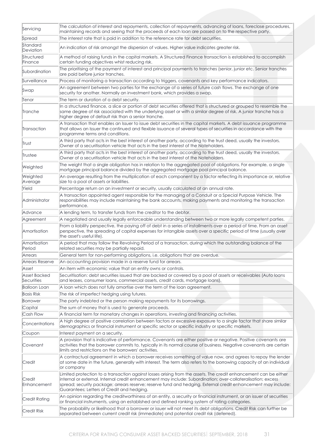| Servicing                  | The calculation of interest and repayments, collection of repayments, advancing of loans, foreclose procedures,<br>maintaining records and seeing that the proceeds of each loan are passed on to the respective party.                                                                                                                                                                         |
|----------------------------|-------------------------------------------------------------------------------------------------------------------------------------------------------------------------------------------------------------------------------------------------------------------------------------------------------------------------------------------------------------------------------------------------|
| Spread                     | The interest rate that is paid in addition to the reference rate for debt securities.                                                                                                                                                                                                                                                                                                           |
| Standard<br>Deviation      | An indication of risk amongst the dispersion of values. Higher value indicates greater risk.                                                                                                                                                                                                                                                                                                    |
| Structured<br>Finance      | A method of raising funds in the capital markets. A Structured Finance transaction is established to accomplish<br>certain funding objectives whist reducing risk.                                                                                                                                                                                                                              |
| Subordination              | The prioritising of the payment of interest and principal payments to tranches (senior, junior etc. Senior tranches<br>are paid before junior tranches.                                                                                                                                                                                                                                         |
| Surveillance               | Process of monitoring a transaction according to triggers, covenants and key performance indicators.                                                                                                                                                                                                                                                                                            |
| Swap                       | An agreement between two parties for the exchange of a series of future cash flows. The exchange of one<br>security for another. Normally an investment bank, which provides a swap.                                                                                                                                                                                                            |
| Tenor                      | The term or duration of a debt security.                                                                                                                                                                                                                                                                                                                                                        |
| Tranche                    | In a structured finance, a slice or portion of debt securities offered that is structured or grouped to resemble the<br>same degree of risk associated with the underlying asset or with a similar degree of risk. A junior tranche has a<br>higher degree of default risk than a senior tranche.                                                                                               |
| Transaction                | A transaction that enables an Issuer to issue debt securities in the capital markets. A debt issuance programme<br>that allows an Issuer the continued and flexible issuance of several types of securities in accordance with the<br>programme terms and conditions.                                                                                                                           |
| Trust                      | A third party that acts in the best interest of another party, according to the trust deed, usually the investors.<br>Owner of a securitisation vehicle that acts in the best interest of the Noteholders.                                                                                                                                                                                      |
| Trustee                    | A third party that acts in the best interest of another party, according to the trust deed, usually the investors.<br>Owner of a securitisation vehicle that acts in the best interest of the Noteholders.                                                                                                                                                                                      |
| Weighted                   | The weight that a single obligation has in relation to the aggregated pool of obligations. For example, a single<br>mortgage principal balance divided by the aggregated mortgage pool principal balance.                                                                                                                                                                                       |
| Weighted<br>Average        | An average resulting from the multiplication of each component by a factor reflecting its importance or, relative<br>size to a pool of assets or liabilities.                                                                                                                                                                                                                                   |
| Yield                      | Percentage return on an investment or security, usually calculated at an annual rate.                                                                                                                                                                                                                                                                                                           |
| Administrator              | A transaction appointed agent responsible for the managing of a Conduit or a Special Purpose Vehicle. The<br>responsibilities may include maintaining the bank accounts, making payments and monitoring the transaction<br>performance.                                                                                                                                                         |
| Advance                    | A lending term, to transfer funds from the creditor to the debtor.                                                                                                                                                                                                                                                                                                                              |
| Agreement                  | A negotiated and usually legally enforceable understanding between two or more legally competent parties.                                                                                                                                                                                                                                                                                       |
| Amortisation               | From a liability perspective, the paying off of debt in a series of installments over a period of time. From an asset<br>perspective, the spreading of capital expenses for intangible assets over a specific period of time (usually over<br>the asset's useful life).                                                                                                                         |
| Amortisation<br>Period     | A period that may follow the Revolving Period of a transaction, during which the outstanding balance of the<br>related securities may be partially repaid.                                                                                                                                                                                                                                      |
| Arrears                    | General term for non-performing obligations, i.e. obligations that are overdue.                                                                                                                                                                                                                                                                                                                 |
| Arrears Reserve            | An accounting provision made in a reserve fund for arrears.                                                                                                                                                                                                                                                                                                                                     |
| Asset                      | An item with economic value that an entity owns or controls.                                                                                                                                                                                                                                                                                                                                    |
| Asset Backed<br>Securities | Securitisation: debt securities issued that are backed or covered by a pool of assets or receivables (Auto loans<br>and leases, consumer loans, commercial assets, credit cards, mortgage loans).                                                                                                                                                                                               |
| <b>Balloon Loan</b>        | A loan which does not fully amortise over the term of the loan agreement.                                                                                                                                                                                                                                                                                                                       |
| <b>Basis Risk</b>          | The risk of imperfect hedging using futures.                                                                                                                                                                                                                                                                                                                                                    |
| Borrower                   | The party indebted or the person making repayments for its borrowings.                                                                                                                                                                                                                                                                                                                          |
| Capital                    | The sum of money that is used to generate proceeds.                                                                                                                                                                                                                                                                                                                                             |
| Cash Flow                  | A financial term for monetary changes in operations, investing and financing activities.                                                                                                                                                                                                                                                                                                        |
| Concentrations             | A high degree of positive correlation between factors or excessive exposure to a single factor that share similar<br>demographics or financial instrument or specific sector or specific industry or specific markets.                                                                                                                                                                          |
| Coupon                     | Interest payment on a security.                                                                                                                                                                                                                                                                                                                                                                 |
| Covenant                   | A provision that is indicative of performance. Covenants are either positive or negative. Positive covenants are<br>activities that the borrower commits to, typically in its normal course of business. Negative covenants are certain<br>limits and restrictions on the borrowers' activities.                                                                                                |
| Credit                     | A contractual agreement in which a borrower receives something of value now, and agrees to repay the lender<br>at some date in the future, generally with interest. The term also refers to the borrowing capacity of an individual<br>or company                                                                                                                                               |
| Credit<br>Enhancement      | Limited protection to a transaction against losses arising from the assets. The credit enhancement can be either<br>internal or external. Internal credit enhancement may include: Subordination; over-collateralisation; excess<br>spread; security package; arrears reserve; reserve fund and hedging. External credit enhancement may include:<br>Guarantees; Letters of Credit and hedging. |
| Credit Rating              | An opinion regarding the creditworthiness of an entity, a security or financial instrument, or an issuer of securities<br>or financial instruments, using an established and defined ranking system of rating categories.                                                                                                                                                                       |
| <b>Credit Risk</b>         | The probability or likelihood that a borrower or issuer will not meet its debt obligations. Credit Risk can further be<br>separated between current credit risk (immediate) and potential credit risk (deferred).                                                                                                                                                                               |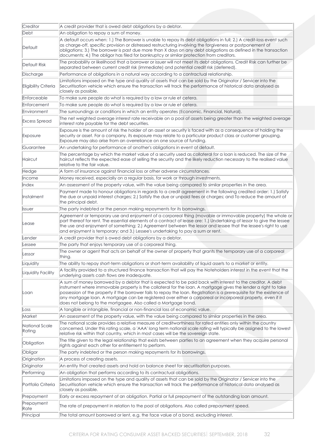| Creditor                        | A credit provider that is owed debt obligations by a debtor.                                                                                                                                                                                                                                                                                                                                                                                                                                                                              |
|---------------------------------|-------------------------------------------------------------------------------------------------------------------------------------------------------------------------------------------------------------------------------------------------------------------------------------------------------------------------------------------------------------------------------------------------------------------------------------------------------------------------------------------------------------------------------------------|
| Debt                            | An obligation to repay a sum of money.                                                                                                                                                                                                                                                                                                                                                                                                                                                                                                    |
| Default                         | A default occurs when: 1.) The Borrower is unable to repay its debt obligations in full; 2.) A credit-loss event such<br>as charge-off, specific provision or distressed restructuring involving the forgiveness or postponement of<br>obligations; 3.) The borrower is past due more than X days on any debt obligations as defined in the transaction<br>documents; 4.) The obligor has filed for bankruptcy or similar protection from creditors.                                                                                      |
| Default Risk                    | The probability or likelihood that a borrower or issuer will not meet its debt obligations. Credit Risk can further be<br>separated between current credit risk (immediate) and potential credit risk (deferred).                                                                                                                                                                                                                                                                                                                         |
| Discharge                       | Performance of obligations in a natural way according to a contractual relationship.                                                                                                                                                                                                                                                                                                                                                                                                                                                      |
| Eligibility Criteria            | Limitations imposed on the type and quality of assets that can be sold by the Originator / Servicer into the<br>Securitisation vehicle which ensure the transaction will track the performance of historical data analysed as<br>closely as possible.                                                                                                                                                                                                                                                                                     |
| Enforceable                     | To make sure people do what is required by a law or rule et cetera.                                                                                                                                                                                                                                                                                                                                                                                                                                                                       |
| Enforcement                     | To make sure people do what is required by a law or rule et cetera.                                                                                                                                                                                                                                                                                                                                                                                                                                                                       |
| Environment                     | The surroundings or conditions in which an entity operates (Economic, Financial, Natural).                                                                                                                                                                                                                                                                                                                                                                                                                                                |
| Excess Spread                   | The net weighted average interest rate receivable on a pool of assets being greater than the weighted average<br>interest rate payable for the debt securities.                                                                                                                                                                                                                                                                                                                                                                           |
| Exposure                        | Exposure is the amount of risk the holder of an asset or security is faced with as a consequence of holding the<br>security or asset. For a company, its exposure may relate to a particular product class or customer grouping.<br>Exposure may also arise from an overreliance on one source of funding.                                                                                                                                                                                                                                |
| Guarantee                       | An undertaking for performance of another's obligations in event of default.                                                                                                                                                                                                                                                                                                                                                                                                                                                              |
| Haircut                         | The percentage by which the market value of a security used as collateral for a loan is reduced. The size of the<br>haircut reflects the expected ease of selling the security and the likely reduction necessary to the realised value<br>relative to the fair value.                                                                                                                                                                                                                                                                    |
| Hedge                           | A form of insurance against financial loss or other adverse circumstances.                                                                                                                                                                                                                                                                                                                                                                                                                                                                |
| <b>Income</b>                   | Money received, especially on a regular basis, for work or through investments.                                                                                                                                                                                                                                                                                                                                                                                                                                                           |
| Index                           | An assessment of the property value, with the value being compared to similar properties in the area.                                                                                                                                                                                                                                                                                                                                                                                                                                     |
| Instalment                      | Payment made to honour obligations in regards to a credit agreement in the following credited order: 1.) Satisfy<br>the due or unpaid interest charges; 2.) Satisfy the due or unpaid fees or charges; and To reduce the amount of<br>the principal debt.                                                                                                                                                                                                                                                                                 |
| <i><u><b> </b></u></i>   Issuer | The party indebted or the person making repayments for its borrowings.                                                                                                                                                                                                                                                                                                                                                                                                                                                                    |
| Lease                           | Agreement or temporary use and enjoyment of a corporeal thing (movable or immovable property) the whole or<br>part thereof for rent. The essential elements of a contract of lease are: 1.) Undertaking of lessor to give the lessee<br>the use and enjoyment of something; 2.) Agreement between the lessor and lessee that the lessee's right to use<br>and enjoyment is temporary; and 3.) Lessee's undertaking to pay a sum or rent.                                                                                                  |
| Lender                          | A credit provider that is owed debt obligations by a debtor.                                                                                                                                                                                                                                                                                                                                                                                                                                                                              |
| Lessee                          | The party that enjoys temporary use of a corporeal thing.                                                                                                                                                                                                                                                                                                                                                                                                                                                                                 |
| Lessor                          | The owner or agent that acts on behalf of the owner of property that grants the temporary use of a corporeal<br>thing.                                                                                                                                                                                                                                                                                                                                                                                                                    |
| Liquidity                       | The ability to repay short-term obligations or short-term availability of liquid assets to a market or entity.                                                                                                                                                                                                                                                                                                                                                                                                                            |
| Liquidity Facility              | A facility provided to a structured finance transaction that will pay the Noteholders interest in the event that the<br>underlying assets cash flows are inadequate.                                                                                                                                                                                                                                                                                                                                                                      |
| Loan                            | A sum of money borrowed by a debtor that is expected to be paid back with interest to the creditor. A debt<br>instrument where immovable property is the collateral for the loan. A mortgage gives the lender a right to take<br>possession of the property if the borrower fails to repay the loan. Registration is a prerequisite for the existence of<br>any mortgage loan. A mortgage can be registered over either a corporeal or incorporeal property, even if it<br>does not belong to the mortgagee. Also called a Mortgage bond. |
| Loss                            | A tangible or intangible, financial or non-financial loss of economic value.                                                                                                                                                                                                                                                                                                                                                                                                                                                              |
| Market                          | An assessment of the property value, with the value being compared to similar properties in the area.                                                                                                                                                                                                                                                                                                                                                                                                                                     |
| National Scale<br>Rating        | The national scale provides a relative measure of creditworthiness for rated entities only within the country<br>concerned. Under this rating scale, a 'AAA' long term national scale rating will typically be assigned to the lowest<br>relative risk within that country, which in most cases will be the sovereign state.                                                                                                                                                                                                              |
| Obligation                      | The title given to the legal relationship that exists between parties to an agreement when they acquire personal<br>rights against each other for entitlement to perform.                                                                                                                                                                                                                                                                                                                                                                 |
| Obligor                         | The party indebted or the person making repayments for its borrowings.                                                                                                                                                                                                                                                                                                                                                                                                                                                                    |
| Origination                     | A process of creating assets.                                                                                                                                                                                                                                                                                                                                                                                                                                                                                                             |
| Originator                      | An entity that created assets and hold on balance sheet for securitisation purposes.                                                                                                                                                                                                                                                                                                                                                                                                                                                      |
| Performing                      | An obligation that performs according to its contractual obligations.                                                                                                                                                                                                                                                                                                                                                                                                                                                                     |
| Portfolio Criteria              | Limitations imposed on the type and quality of assets that can be sold by the Originator / Servicer into the<br>Securitisation vehicle which ensure the transaction will track the performance of historical data analysed as<br>closely as possible.                                                                                                                                                                                                                                                                                     |
| Prepayment                      | Early or excess repayment of an obligation. Partial or full prepayment of the outstanding loan amount.                                                                                                                                                                                                                                                                                                                                                                                                                                    |
| Prepayment<br>Rate              | The rate of prepayment in relation to the pool of obligations. Also called prepayment speed.                                                                                                                                                                                                                                                                                                                                                                                                                                              |
| Principal                       | The total amount borrowed or lent, e.g. the face value of a bond, excluding interest.                                                                                                                                                                                                                                                                                                                                                                                                                                                     |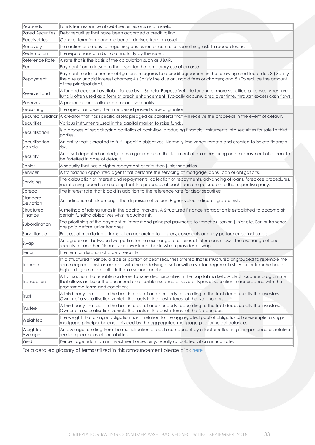| Proceeds                  | Funds from issuance of debt securities or sale of assets.                                                                                                                                                                                                                                         |
|---------------------------|---------------------------------------------------------------------------------------------------------------------------------------------------------------------------------------------------------------------------------------------------------------------------------------------------|
| <b>Rated Securities</b>   | Debt securities that have been accorded a credit rating.                                                                                                                                                                                                                                          |
| <b>Receivables</b>        | General term for economic benefit derived from an asset.                                                                                                                                                                                                                                          |
| Recovery                  | The action or process of regaining possession or control of something lost. To recoup losses.                                                                                                                                                                                                     |
| Redemption                | The repurchase of a bond at maturity by the issuer.                                                                                                                                                                                                                                               |
| Reference Rate            | A rate that is the basis of the calculation such as JIBAR.                                                                                                                                                                                                                                        |
| Rent                      | Payment from a lessee to the lessor for the temporary use of an asset.                                                                                                                                                                                                                            |
| Repayment                 | Payment made to honour obligations in regards to a credit agreement in the following credited order: 3.) Satisfy<br>the due or unpaid interest charges; 4.) Satisfy the due or unpaid fees or charges; and 5.) To reduce the amount<br>of the principal debt.                                     |
| Reserve Fund              | A funded account available for use by a Special Purpose Vehicle for one or more specified purposes. A reserve<br>fund is often used as a form of credit enhancement. Typically accumulated over time, through excess cash flows.                                                                  |
| Reserves                  | A portion of funds allocated for an eventuality.                                                                                                                                                                                                                                                  |
| Seasoning                 | The age of an asset, the time period passed since origination.                                                                                                                                                                                                                                    |
|                           | Secured Creditor   A creditor that has specific assets pledged as collateral that will receive the proceeds in the event of default.                                                                                                                                                              |
| Securities                | Various instruments used in the capital market to raise funds.                                                                                                                                                                                                                                    |
| Securitisation            | Is a process of repackaging portfolios of cash-flow producing financial instruments into securities for sale to third<br>parties.                                                                                                                                                                 |
| Securitisation<br>Vehicle | An entity that is created to fulfill specific objectives. Normally insolvency remote and created to isolate financial<br>risk.                                                                                                                                                                    |
| Security                  | An asset deposited or pledged as a guarantee of the fulfilment of an undertaking or the repayment of a loan, to<br>be forfeited in case of default.                                                                                                                                               |
| Senior                    | A security that has a higher repayment priority than junior securities.                                                                                                                                                                                                                           |
| Servicer                  | A transaction appointed agent that performs the servicing of mortgage loans, loan or obligations.                                                                                                                                                                                                 |
| Servicing                 | The calculation of interest and repayments, collection of repayments, advancing of loans, foreclose procedures,<br>maintaining records and seeing that the proceeds of each loan are passed on to the respective party.                                                                           |
| Spread                    | The interest rate that is paid in addition to the reference rate for debt securities.                                                                                                                                                                                                             |
| Standard<br>Deviation     | An indication of risk amongst the dispersion of values. Higher value indicates greater risk.                                                                                                                                                                                                      |
| Structured<br>Finance     | A method of raising funds in the capital markets. A Structured Finance transaction is established to accomplish<br>certain funding objectives whist reducing risk.                                                                                                                                |
| Subordination             | The prioritising of the payment of interest and principal payments to tranches (senior, junior etc. Senior tranches<br>are paid before junior tranches.                                                                                                                                           |
| Surveillance              | Process of monitoring a transaction according to triggers, covenants and key performance indicators.                                                                                                                                                                                              |
| Swap                      | An agreement between two parties for the exchange of a series of future cash flows. The exchange of one<br>security for another. Normally an investment bank, which provides a swap.                                                                                                              |
| Tenor                     | The term or duration of a debt security.                                                                                                                                                                                                                                                          |
| Tranche                   | In a structured finance, a slice or portion of debt securities offered that is structured or grouped to resemble the<br>same degree of risk associated with the underlying asset or with a similar degree of risk. A junior tranche has a<br>higher degree of default risk than a senior tranche. |
| Transaction               | A transaction that enables an Issuer to issue debt securities in the capital markets. A debt issuance programme<br>that allows an Issuer the continued and flexible issuance of several types of securities in accordance with the<br>programme terms and conditions.                             |
| Trust                     | A third party that acts in the best interest of another party, according to the trust deed, usually the investors.<br>Owner of a securitisation vehicle that acts in the best interest of the Noteholders.                                                                                        |
| Trustee                   | A third party that acts in the best interest of another party, according to the trust deed, usually the investors.<br>Owner of a securitisation vehicle that acts in the best interest of the Noteholders.                                                                                        |
| Weighted                  | The weight that a single obligation has in relation to the aggregated pool of obligations. For example, a single<br>mortgage principal balance divided by the aggregated mortgage pool principal balance.                                                                                         |
| Weighted<br>Average       | An average resulting from the multiplication of each component by a factor reflecting its importance or, relative<br>size to a pool of assets or liabilities.                                                                                                                                     |
| Yield                     | Percentage return on an investment or security, usually calculated at an annual rate.                                                                                                                                                                                                             |

For a detailed glossary of terms utilized in this announcement please click [here](https://globalratings.net/understanding-ratings/glossary)